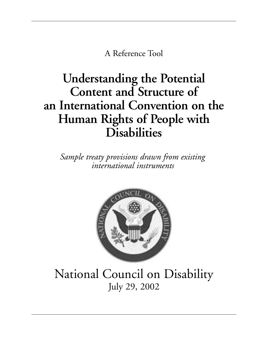A Reference Tool

# **Understanding the Potential Content and Structure of an International Convention on the Human Rights of People with Disabilities**

*Sample treaty provisions drawn from existing international instruments* 



# National Council on Disability July 29, 2002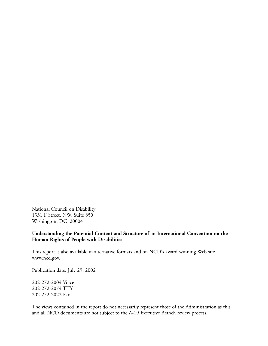National Council on Disability 1331 F Street, NW, Suite 850 Washington, DC 20004

# **Understanding the Potential Content and Structure of an International Convention on the Human Rights of People with Disabilities**

This report is also available in alternative formats and on NCD's award-winning Web site www.ncd.gov.

Publication date: July 29, 2002

202-272-2004 Voice 202-272-2074 TTY 202-272-2022 Fax

The views contained in the report do not necessarily represent those of the Administration as this and all NCD documents are not subject to the A-19 Executive Branch review process.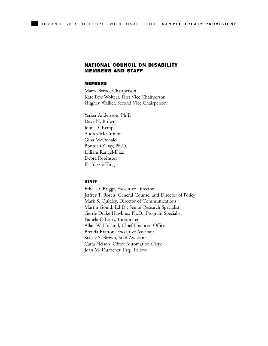# NATIONAL COUNCIL ON DISABILITY MEMBERS AND STAFF

# MEMBERS

Marca Bristo, Chairperson Kate Pew Wolters, First Vice Chairperson Hughey Walker, Second Vice Chairperson

Yerker Andersson, Ph.D. Dave N. Brown John D. Kemp Audrey McCrimon Gina McDonald Bonnie O'Day, Ph.D. Lilliam Rangel-Diaz Debra Robinson Ela Yazzie-King

## **STAFF**

Ethel D. Briggs, Executive Director Jeffrey T. Rosen, General Counsel and Director of Policy Mark S. Quigley, Director of Communications Martin Gould, Ed.D., Senior Research Specialist Gerrie Drake Hawkins, Ph.D., Program Specialist Pamela O'Leary, Interpreter Allan W. Holland, Chief Financial Officer Brenda Bratton, Executive Assistant Stacey S. Brown, Staff Assistant Carla Nelson, Office Automation Clerk Joan M. Durocher, Esq., Fellow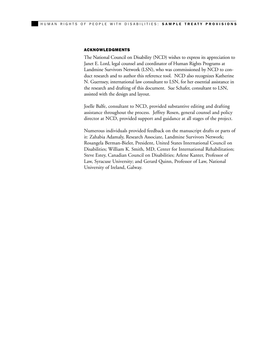## ACKNOWLEDGMENTS

The National Council on Disability (NCD) wishes to express its appreciation to Janet E. Lord, legal counsel and coordinator of Human Rights Programs at Landmine Survivors Network (LSN), who was commissioned by NCD to conduct research and to author this reference tool. NCD also recognizes Katherine N. Guernsey, international law consultant to LSN, for her essential assistance in the research and drafting of this document. Sue Schafer, consultant to LSN, assisted with the design and layout.

Joelle Balfe, consultant to NCD, provided substantive editing and drafting assistance throughout the process. Jeffrey Rosen, general counsel and policy director at NCD, provided support and guidance at all stages of the project.

Numerous individuals provided feedback on the manuscript drafts or parts of it: Zahabia Adamaly, Research Associate, Landmine Survivors Network; Rosangela Berman-Bieler, President, United States International Council on Disabilities; William K. Smith, MD, Center for International Rehabilitation; Steve Estey, Canadian Council on Disabilities; Arlene Kanter, Professor of Law, Syracuse University; and Gerard Quinn, Professor of Law, National University of Ireland, Galway.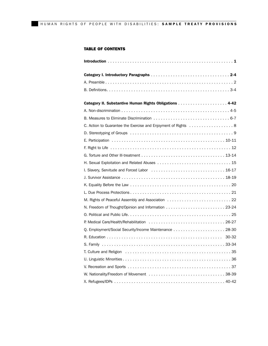# TABLE OF CONTENTS

| C. Action to Guarantee the Exercise and Enjoyment of Rights 8 |
|---------------------------------------------------------------|
|                                                               |
|                                                               |
|                                                               |
|                                                               |
|                                                               |
|                                                               |
|                                                               |
|                                                               |
|                                                               |
| M. Rights of Peaceful Assembly and Association  22            |
|                                                               |
|                                                               |
| P. Medical Care/Health/Rehabilitation 26-27                   |
|                                                               |
|                                                               |
|                                                               |
|                                                               |
|                                                               |
|                                                               |
|                                                               |
|                                                               |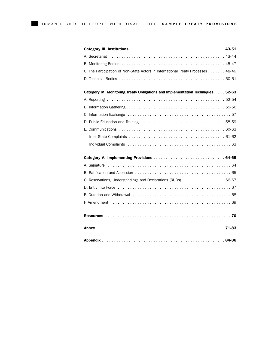| C. The Participation of Non-State Actors in International Treaty Processes 48-49 |
|----------------------------------------------------------------------------------|
|                                                                                  |
|                                                                                  |
| Category IV. Monitoring Treaty Obligations and Implementation Techniques 52-63   |
|                                                                                  |
|                                                                                  |
|                                                                                  |
|                                                                                  |
|                                                                                  |
|                                                                                  |
|                                                                                  |
|                                                                                  |
|                                                                                  |
|                                                                                  |
|                                                                                  |
|                                                                                  |
| C. Reservations, Understandings and Declarations (RUDs) 66-67                    |
|                                                                                  |
|                                                                                  |
|                                                                                  |
|                                                                                  |
|                                                                                  |
|                                                                                  |
|                                                                                  |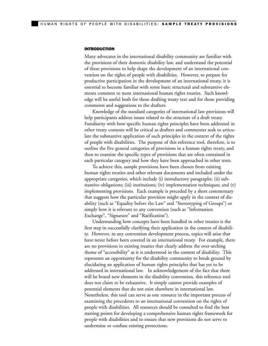## INTRODUCTION

Many advocates in the international disability community are familiar with the provisions of their domestic disability law, and understand the potential of these provisions to help shape the development of an international convention on the rights of people with disabilities. However, to prepare for productive participation in the development of an international treaty, it is essential to become familiar with some basic structural and substantive elements common to most international human rights treaties. Such knowledge will be useful both for those drafting treaty text and for those providing comments and suggestions to the drafters.

Knowledge of the standard categories of international law provisions will help participants address issues related to the structure of a draft treaty. Familiarity with how specific human rights principles have been addressed in other treaty contexts will be critical as drafters and commenter seek to articulate the substantive application of such principles in the context of the rights of people with disabilities. The purpose of this reference tool, therefore, is to outline the five general categories of provisions in a human rights treaty, and then to examine the specific types of provisions that are often contained in each particular category and how they have been approached in other texts.

To achieve this, sample provisions have been chosen from existing human rights treaties and other relevant documents and included under the appropriate categories, which include (i) introductory paragraphs; (ii) substantive obligations; (iii) institutions; (iv) implementation techniques; and (v) implementing provisions. Each example is preceded by a short commentary that suggests how the particular provision might apply in the context of disability (such as "Equality before the Law" and "Stereotyping of Groups") or simply how it is relevant to any convention (such as "Information Exchange", "Signature" and "Ratification").

Understanding how concepts have been handled in other treaties is the first step in successfully clarifying their application in the context of disability. However, in any convention development process, topics will arise that have never before been covered in an international treaty. For example, there are no provisions in existing treaties that clearly address the over-arching theme of "accessibility" as it is understood in the context of disability. This represents an opportunity for the disability community to break ground by elucidating an application of human rights principles that has yet to be addressed in international law. In acknowledgement of the fact that there will be brand new elements in the disability convention, this reference tool does not claim to be exhaustive. It simply cannot provide examples of potential elements that do not exist elsewhere in international law. Nonetheless, this tool can serve as one resource in the important process of examining the precedents to an international convention on the rights of people with disabilities. All resources should be consulted to find the best starting points for developing a comprehensive human rights framework for people with disabilities and to ensure that new provisions do not serve to undermine or confuse existing protections.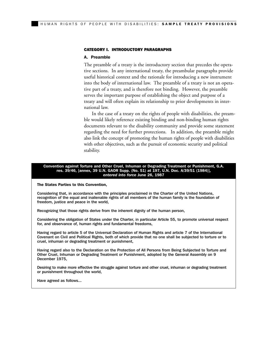#### CATEGORY I. INTRODUCTORY PARAGRAPHS

## A. Preamble

The preamble of a treaty is the introductory section that precedes the operative sections. In any international treaty, the preambular paragraphs provide useful historical context and the rationale for introducing a new instrument into the body of international law. The preamble of a treaty is not an operative part of a treaty, and is therefore not binding. However, the preamble serves the important purpose of establishing the object and purpose of a treaty and will often explain its relationship to prior developments in international law.

In the case of a treaty on the rights of people with disabilities, the preamble would likely reference existing binding and non-binding human rights documents relevant to the disability community and provide some statement regarding the need for further protections. In addition, the preamble might also link the concept of promoting the human rights of people with disabilities with other objectives, such as the pursuit of economic security and political stability.

#### Convention against Torture and Other Cruel, Inhuman or Degrading Treatment or Punishment, G.A. res. 39/46, [annex *entered into force*  , 39 U.N. GAOR Supp. (No. 51) at 197, U.N. Doc. A/39/51 (1984)], June 26, 1987

#### The States Parties to this Convention,

Considering that, in accordance with the principles proclaimed in the Charter of the United Nations, recognition of the equal and inalienable rights of all members of the human family is the foundation of freedom, justice and peace in the world,

Recognizing that those rights derive from the inherent dignity of the human person,

Considering the obligation of States under the Charter, in particular Article 55, to promote universal respect for, and observance of, human rights and fundamental freedoms,

Having regard to article 5 of the Universal Declaration of Human Rights and article 7 of the International Covenant on Civil and Political Rights, both of which provide that no one shall be subjected to torture or to cruel, inhuman or degrading treatment or punishment,

Having regard also to the Declaration on the Protection of All Persons from Being Subjected to Torture and Other Cruel, Inhuman or Degrading Treatment or Punishment, adopted by the General Assembly on 9 December 1975,

Desiring to make more effective the struggle against torture and other cruel, inhuman or degrading treatment or punishment throughout the world,

Have agreed as follows...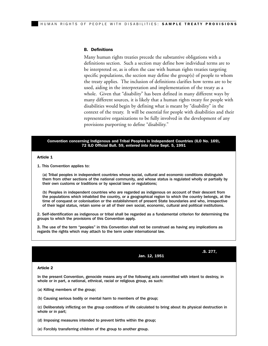## B. Definitions

Many human rights treaties precede the substantive obligations with a definitions section. Such a section may define how individual terms are to be interpreted or, as is often the case with human rights treaties targeting specific populations, the section may define the group(s) of people to whom the treaty applies. The inclusion of definitions clarifies how terms are to be used, aiding in the interpretation and implementation of the treaty as a whole. Given that "disability" has been defined in many different ways by many different sources, it is likely that a human rights treaty for people with disabilities would begin by defining what is meant by "disability" in the context of the treaty. It will be essential for people with disabilities and their representative organizations to be fully involved in the development of any provisions purporting to define "disability."

## Convention concerning Indigenous and Tribal Peoples in Independent Countries (ILO No. 169), 72 ILO Official Bull. 59, *entered into force* Sept. 5, 1991

#### Article 1

1. This Convention applies to:

(a) Tribal peoples in independent countries whose social, cultural and economic conditions distinguish them from other sections of the national community, and whose status is regulated wholly or partially by their own customs or traditions or by special laws or regulations;

(b) Peoples in independent countries who are regarded as indigenous on account of their descent from the populations which inhabited the country, or a geographical region to which the country belongs, at the time of conquest or colonisation or the establishment of present State boundaries and who, irrespective of their legal status, retain some or all of their own social, economic, cultural and political institutions.

2. Self-identification as indigenous or tribal shall be regarded as a fundamental criterion for determining the groups to which the provisions of this Convention apply.

3. The use of the term "peoples" in this Convention shall not be construed as having any implications as regards the rights which may attach to the term under international law.

Jan. 12, 1951

.S. 277,

#### Article 2

In the present Convention, genocide means any of the following acts committed with intent to destroy, in whole or in part, a national, ethnical, racial or religious group, as such:

(a) Killing members of the group;

(b) Causing serious bodily or mental harm to members of the group;

(c) Deliberately inflicting on the group conditions of life calculated to bring about its physical destruction in whole or in part;

(d) Imposing measures intended to prevent births within the group;

(e) Forcibly transferring children of the group to another group.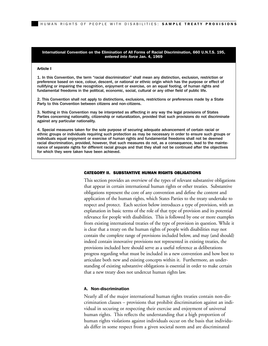#### International Convention on the Elimination of All Forms of Racial Discrimination, 660 U.N.T.S. 195, *entered into force*  Jan. 4, 1969

# Article I

1. In this Convention, the term "racial discrimination" shall mean any distinction, exclusion, restriction or preference based on race, colour, descent, or national or ethnic origin which has the purpose or effect of nullifying or impairing the recognition, enjoyment or exercise, on an equal footing, of human rights and fundamental freedoms in the political, economic, social, cultural or any other field of public life.

2. This Convention shall not apply to distinctions, exclusions, restrictions or preferences made by a State Party to this Convention between citizens and non-citizens.

3. Nothing in this Convention may be interpreted as affecting in any way the legal provisions of States Parties concerning nationality, citizenship or naturalization, provided that such provisions do not discriminate against any particular nationality.

4. Special measures taken for the sole purpose of securing adequate advancement of certain racial or ethnic groups or individuals requiring such protection as may be necessary in order to ensure such groups or individuals equal enjoyment or exercise of human rights and fundamental freedoms shall not be deemed racial discrimination, provided, however, that such measures do not, as a consequence, lead to the maintenance of separate rights for different racial groups and that they shall not be continued after the objectives for which they were taken have been achieved.

## CATEGORY II. SUBSTANTIVE HUMAN RIGHTS OBLIGATIONS

This section provides an overview of the types of relevant substantive obligations that appear in certain international human rights or other treaties. Substantive obligations represent the core of any convention and define the content and application of the human rights, which States Parties to the treaty undertake to respect and protect. Each section below introduces a type of provision, with an explanation in basic terms of the role of that type of provision and its potential relevance for people with disabilities. This is followed by one or more examples from existing international treaties of the type of provision in question. While it is clear that a treaty on the human rights of people with disabilities may not contain the complete range of provisions included below, and may (and should) indeed contain innovative provisions not represented in existing treaties, the provisions included here should serve as a useful reference as deliberations progress regarding what must be included in a new convention and how best to articulate both new and existing concepts within it. Furthermore, an understanding of existing substantive obligations is essential in order to make certain that a new treaty does not undercut human rights law.

# A. Non-discrimination

Nearly all of the major international human rights treaties contain non-discrimination clauses – provisions that prohibit discrimination against an individual in securing or respecting their exercise and enjoyment of universal human rights. This reflects the understanding that a high proportion of human rights violations against individuals occur on the basis that individuals differ in some respect from a given societal norm and are discriminated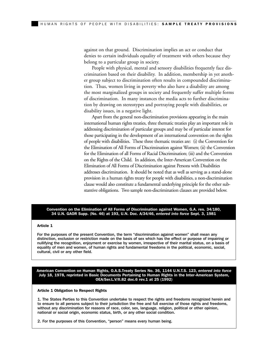against on that ground. Discrimination implies an act or conduct that denies to certain individuals equality of treatment with others because they belong to a particular group in society.

People with physical, mental and sensory disabilities frequently face discrimination based on their disability. In addition, membership in yet another group subject to discrimination often results in compounded discrimination. Thus, women living in poverty who also have a disability are among the most marginalized groups in society and frequently suffer multiple forms of discrimination. In many instances the media acts to further discrimination by drawing on stereotypes and portraying people with disabilities, or disability issues, in a negative light.

Apart from the general non-discrimination provisions appearing in the main international human rights treaties, three thematic treaties play an important role in addressing discrimination of particular groups and may be of particular interest for those participating in the development of an international convention on the rights of people with disabilities. These three thematic treaties are: (i) the Convention for the Elimination of All Forms of Discrimination against Women; (ii) the Convention for the Elimination of all Forms of Racial Discrimination; (iii) and the Convention on the Rights of the Child. In addition, the Inter-American Convention on the Elimination of All Forms of Discrimination against Persons with Disabilities addresses discrimination. It should be noted that as well as serving as a stand-alone provision in a human rights treaty for people with disabilities, a non-discrimination clause would also constitute a fundamental underlying principle for the other substantive obligations. Two sample non-discrimination clauses are provided below.

## Convention on the Elimination of All Forms of Discrimination against Women, G.A. res. 34/180, 34 U.N. GAOR Supp. (No. 46) at 193, U.N. Doc. A/34/46, *entered into force* Sept. 3, 1981

#### Article 1

For the purposes of the present Convention, the term "discrimination against women" shall mean any distinction, exclusion or restriction made on the basis of sex which has the effect or purpose of impairing or nullifying the recognition, enjoyment or exercise by women, irrespective of their marital status, on a basis of equality of men and women, of human rights and fundamental freedoms in the political, economic, social, cultural, civil or any other field.

American Convention on Human Rights, O.A.S.Treaty Series No. 36, 1144 U.N.T.S. 123, *entered into force*  July 18, 1978, reprinted in Basic Documents Pertaining to Human Rights in the Inter-American System, OEA/Ser.L.V/II.82 doc.6 rev.1 at 25 (1992)

### Article 1 Obligation to Respect Rights

1. The States Parties to this Convention undertake to respect the rights and freedoms recognized herein and to ensure to all persons subject to their jurisdiction the free and full exercise of those rights and freedoms, without any discrimination for reasons of race, color, sex, language, religion, political or other opinion, national or social origin, economic status, birth, or any other social condition.

2. For the purposes of this Convention, "person" means every human being.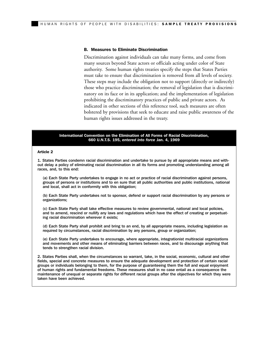#### B. Measures to Eliminate Discrimination

Discrimination against individuals can take many forms, and come from many sources beyond State actors or officials acting under color of State authority. Some human rights treaties specify the steps that States Parties must take to ensure that discrimination is removed from all levels of society. These steps may include the obligation not to support (directly or indirectly) those who practice discrimination; the removal of legislation that is discriminatory on its face or in its application; and the implementation of legislation prohibiting the discriminatory practices of public and private actors. As indicated in other sections of this reference tool, such measures are often bolstered by provisions that seek to educate and raise public awareness of the human rights issues addressed in the treaty.

### International Convention on the Elimination of All Forms of Racial Discrimination, 660 U.N.T.S. 195, *entered into force* Jan. 4, 1969

#### Article 2

1. States Parties condemn racial discrimination and undertake to pursue by all appropriate means and without delay a policy of eliminating racial discrimination in all its forms and promoting understanding among all races, and, to this end:

(a) Each State Party undertakes to engage in no act or practice of racial discrimination against persons, groups of persons or institutions and to en sure that all public authorities and public institutions, national and local, shall act in conformity with this obligation;

(b) Each State Party undertakes not to sponsor, defend or support racial discrimination by any persons or organizations;

(c) Each State Party shall take effective measures to review governmental, national and local policies, and to amend, rescind or nullify any laws and regulations which have the effect of creating or perpetuating racial discrimination wherever it exists;

(d) Each State Party shall prohibit and bring to an end, by all appropriate means, including legislation as required by circumstances, racial discrimination by any persons, group or organization;

(e) Each State Party undertakes to encourage, where appropriate, integrationist multiracial organizations and movements and other means of eliminating barriers between races, and to discourage anything that tends to strengthen racial division.

2. States Parties shall, when the circumstances so warrant, take, in the social, economic, cultural and other fields, special and concrete measures to ensure the adequate development and protection of certain racial groups or individuals belonging to them, for the purpose of guaranteeing them the full and equal enjoyment of human rights and fundamental freedoms. These measures shall in no case entail as a consequence the maintenance of unequal or separate rights for different racial groups after the objectives for which they were taken have been achieved.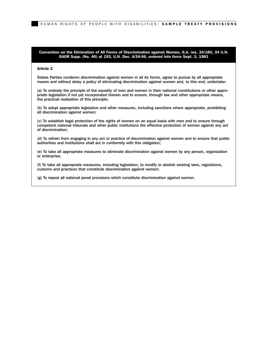#### Convention on the Elimination of All Forms of Discrimination against Women, G.A. res. 34/180, 34 U.N. GAOR Supp. (No. 46) at 193, U.N. Doc. A/34/46, *entered into force* Sept. 3, 1981

# Article 2

States Parties condemn discrimination against women in all its forms, agree to pursue by all appropriate means and without delay a policy of eliminating discrimination against women and, to this end, undertake:

(a) To embody the principle of the equality of men and women in their national constitutions or other appropriate legislation if not yet incorporated therein and to ensure, through law and other appropriate means, the practical realization of this principle;

(b) To adopt appropriate legislative and other measures, including sanctions where appropriate, prohibiting all discrimination against women;

(c) To establish legal protection of the rights of women on an equal basis with men and to ensure through competent national tribunals and other public institutions the effective protection of women against any act of discrimination;

(d) To refrain from engaging in any act or practice of discrimination against women and to ensure that public authorities and institutions shall act in conformity with this obligation;

(e) To take all appropriate measures to eliminate discrimination against women by any person, organization or enterprise;

(f) To take all appropriate measures, including legislation, to modify or abolish existing laws, regulations, customs and practices that constitute discrimination against women;

(g) To repeal all national penal provisions which constitute discrimination against women.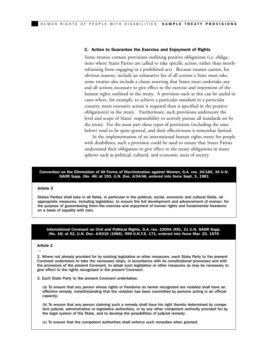#### C. Action to Guarantee the Exercise and Enjoyment of Rights

Some treaties contain provisions outlining positive obligations (i.e. obligations where States Parties are called to take specific action, rather than merely refraining from engaging in a prohibited act). Because treaties cannot, for obvious reasons, include an exhaustive list of all actions a State must take, some treaties also include a clause asserting that States must undertake any and all actions necessary to give effect to the exercise and enjoyment of the human rights outlined in the treaty. A provision such as this can be useful in cases where, for example, to achieve a particular standard in a particular country, more extensive action is required than is specified in the positive obligation(s) in the treaty. Furthermore, such provisions underscore the level and scope of States' responsibility to actively pursue all standards set by the treaty. For the most part these types of provisions (including the ones below) tend to be quite general, and their effectiveness is somewhat limited.

In the implementation of an international human rights treaty for people with disabilities, such a provision could be used to ensure that States Parties understand their obligation to give effect to the treaty obligations in many spheres such as political, cultural, and economic areas of society.

## Convention on the Elimination of All Forms of Discrimination against Women, G.A. res. 34/180, 34 U.N. GAOR Supp. (No. 46) at 193, U.N. Doc. A/34/46, *entered into force* Sept. 3, 1981

#### Article 3

States Parties shall take in all fields, in particular in the political, social, economic and cultural fields, all appropriate measures, including legislation, to ensure the full development and advancement of women, for the purpose of guaranteeing them the exercise and enjoyment of human rights and fundamental freedoms on a basis of equality with men.

## International Covenant on Civil and Political Rights, G.A. res. 2200A (XXI), 21 U.N. GAOR Supp. (No. 16) at 52, U.N. Doc. A/6316 (1966), 999 U.N.T.S. 171, *entered into force* Mar. 23, 1976

#### Article 2

…

2. Where not already provided for by existing legislative or other measures, each State Party to the present Covenant undertakes to take the necessary steps, in accordance with its constitutional processes and with the provisions of the present Covenant, to adopt such legislative or other measures as may be necessary to give effect to the rights recognized in the present Covenant.

3. Each State Party to the present Covenant undertakes:

(a) To ensure that any person whose rights or freedoms as herein recognized are violated shall have an effective remedy, notwithstanding that the violation has been committed by persons acting in an official capacity;

(b) To ensure that any person claiming such a remedy shall have his right thereto determined by competent judicial, administrative or legislative authorities, or by any other competent authority provided for by the legal system of the State, and to develop the possibilities of judicial remedy;

(c) To ensure that the competent authorities shall enforce such remedies when granted.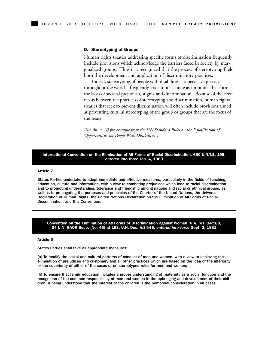## D. Stereotyping of Groups

Human rights treaties addressing specific forms of discrimination frequently include provisions which acknowledge the barriers faced in society by marginalized groups. Thus it is recognized that the process of stereotyping fuels both the development and application of discriminatory practices.

Indeed, stereotyping of people with disabilities – a pervasive practice throughout the world – frequently leads to inaccurate assumptions that form the basis of societal prejudices, stigma and discrimination. Because of the close nexus between the practices of stereotyping and discrimination, human rights treaties that seek to prevent discrimination will often include provisions aimed at preventing cultural stereotyping of the group or groups that are the focus of the treaty.

*(See Annex (I) for example from the UN Standard Rules on the Equalization of Opportunities for People With Disabilities.)* 

#### International Convention on the Elimination of All Forms of Racial Discrimination, 660 U.N.T.S. 195, *entered into force*  Jan. 4, 1969

#### Article 7

States Parties undertake to adopt immediate and effective measures, particularly in the fields of teaching, education, culture and information, with a view to combating prejudices which lead to racial discrimination and to promoting understanding, tolerance and friendship among nations and racial or ethnical groups, as well as to propagating the purposes and principles of the Charter of the United Nations, the Universal Declaration of Human Rights, the United Nations Declaration on the Elimination of All Forms of Racial Discrimination, and this Convention.

## Convention on the Elimination of All Forms of Discrimination against Women, G.A. res. 34/180, 34 U.N. GAOR Supp. (No. 46) at 193, U.N. Doc. A/34/46, *entered into force* Sept. 3, 1981

#### Article 5

States Parties shall take all appropriate measures:

(a) To modify the social and cultural patterns of conduct of men and women, with a view to achieving the elimination of prejudices and customary and all other practices which are based on the idea of the inferiority or the superiority of either of the sexes or on stereotyped roles for men and women;

(b) To ensure that family education includes a proper understanding of maternity as a social function and the recognition of the common responsibility of men and women in the upbringing and development of their children, it being understood that the interest of the children is the primordial consideration in all cases.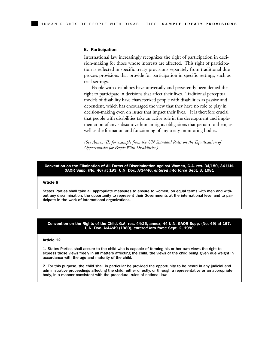## E. Participation

International law increasingly recognizes the right of participation in decision-making for those whose interests are affected. This right of participation is reflected in specific treaty provisions separately from traditional due process provisions that provide for participation in specific settings, such as trial settings.

People with disabilities have universally and persistently been denied the right to participate in decisions that affect their lives. Traditional perceptual models of disability have characterized people with disabilities as passive and dependent, which has encouraged the view that they have no role to play in decision-making even on issues that impact their lives. It is therefore crucial that people with disabilities take an active role in the development and implementation of any substantive human rights obligations that pertain to them, as well as the formation and functioning of any treaty monitoring bodies.

*(See Annex (II) for example from the UN Standard Rules on the Equalization of Opportunities for People With Disabilities.)* 

Convention on the Elimination of All Forms of Discrimination against Women, G.A. res. 34/180, 34 U.N. GAOR Supp. (No. 46) at 193, U.N. Doc. A/34/46, *entered into force* Sept. 3, 1981

#### Article 8

States Parties shall take all appropriate measures to ensure to women, on equal terms with men and without any discrimination, the opportunity to represent their Governments at the international level and to participate in the work of international organizations.

Convention on the Rights of the Child, G.A. res. 44/25, anne x, 44 U.N. GAOR Supp. (No. 49) at 167, U.N. Doc. A/44/49 (1989), *entered into force* Sept. 2, 1990

## Article 12

1. States Parties shall assure to the child who is capable of forming his or her own views the right to express those views freely in all matters affecting the child, the views of the child being given due weight in accordance with the age and maturity of the child.

2. For this purpose, the child shall in particular be provided the opportunity to be heard in any judicial and administrative proceedings affecting the child, either directly, or through a representative or an appropriate body, in a manner consistent with the procedural rules of national law.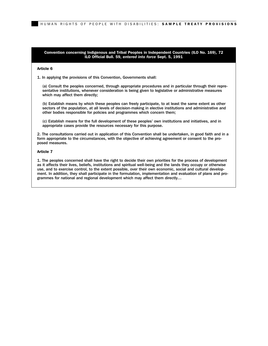## Convention concerning Indigenous and Tribal Peoples in Independent Countries (ILO No. 169), 72 ILO Official Bull. 59, *entered into force* Sept. 5, 1991

#### Article 6

1. In applying the provisions of this Convention, Governments shall:

(a) Consult the peoples concerned, through appropriate procedures and in particular through their representative institutions, whenever consideration is being given to legislative or administrative measures which may affect them directly;

(b) Establish means by which these peoples can freely participate, to at least the same extent as other sectors of the population, at all levels of decision-making in elective institutions and administrative and other bodies responsible for policies and programmes which concern them;

(c) Establish means for the full development of these peoples' own institutions and initiatives, and in appropriate cases provide the resources necessary for this purpose.

2. The consultations carried out in application of this Convention shall be undertaken, in good faith and in a form appropriate to the circumstances, with the objective of achieving agreement or consent to the proposed measures.

## Article 7

1. The peoples concerned shall have the right to decide their own priorities for the process of development as it affects their lives, beliefs, institutions and spiritual well-being and the lands they occupy or otherwise use, and to exercise control, to the extent possible, over their own economic, social and cultural development. In addition, they shall participate in the formulation, implementation and evaluation of plans and programmes for national and regional development which may affect them directly…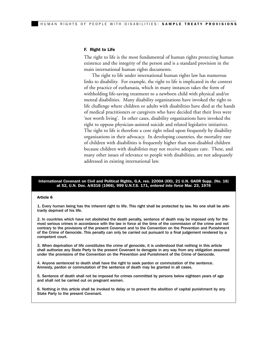## F. Right to Life

The right to life is the most fundamental of human rights protecting human existence and the integrity of the person and is a standard provision in the main international human rights documents.

The right to life under international human rights law has numerous links to disability. For example, the right to life is implicated in the context of the practice of euthanasia, which in many instances takes the form of withholding life-saving treatment to a newborn child with physical and/or mental disabilities. Many disability organizations have invoked the right to life challenge where children or adults with disabilities have died at the hands of medical practitioners or caregivers who have decided that their lives were 'not worth living'. In other cases, disability organizations have invoked the right to oppose physician-assisted suicide and related legislative initiatives. The right to life is therefore a core right relied upon frequently by disability organizations in their advocacy. In developing countries, the mortality rate of children with disabilities is frequently higher than non-disabled children because children with disabilities may not receive adequate care. These, and many other issues of relevance to people with disabilities, are not adequately addressed in existing international law.

#### International Covenant on Civil and Political Rights, G.A. res. 2200A (XXI), 21 U.N. GAOR Supp. (No. 16) at 52, U.N. Doc. A/6316 (1966), 999 U.N.T.S. 171, *entered into force* Mar. 23, 1976

#### Article 6

1. Every human being has the inherent right to life. This right shall be protected by law. No one shall be arbitrarily deprived of his life.

2. In countries which have not abolished the death penalty, sentence of death may be imposed only for the most serious crimes in accordance with the law in force at the time of the commission of the crime and not contrary to the provisions of the present Covenant and to the Convention on the Prevention and Punishment of the Crime of Genocide. This penalty can only be carried out pursuant to a final judgement rendered by a competent court.

3. When deprivation of life constitutes the crime of genocide, it is understood that nothing in this article shall authorize any State Party to the present Covenant to derogate in any way from any obligation assumed under the provisions of the Convention on the Prevention and Punishment of the Crime of Genocide.

4. Anyone sentenced to death shall have the right to seek pardon or commutation of the sentence. Amnesty, pardon or commutation of the sentence of death may be granted in all cases.

5. Sentence of death shall not be imposed for crimes committed by persons below eighteen years of age and shall not be carried out on pregnant women.

6. Nothing in this article shall be invoked to delay or to prevent the abolition of capital punishment by any State Party to the present Covenant.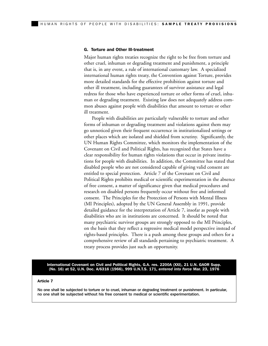#### G. Torture and Other Ill-treatment

Major human rights treaties recognize the right to be free from torture and other cruel, inhuman or degrading treatment and punishment, a principle that is, in any event, a rule of international customary law. A specialized international human rights treaty, the Convention against Torture, provides more detailed standards for the effective prohibition against torture and other ill treatment, including guarantees of survivor assistance and legal redress for those who have experienced torture or other forms of cruel, inhuman or degrading treatment. Existing law does not adequately address common abuses against people with disabilities that amount to torture or other ill treatment.

People with disabilities are particularly vulnerable to torture and other forms of inhuman or degrading treatment and violations against them may go unnoticed given their frequent occurrence in institutionalized settings or other places which are isolated and shielded from scrutiny. Significantly, the UN Human Rights Committee, which monitors the implementation of the Covenant on Civil and Political Rights, has recognized that States have a clear responsibility for human rights violations that occur in private institutions for people with disabilities. In addition, the Committee has stated that disabled people who are not considered capable of giving valid consent are entitled to special protection. Article 7 of the Covenant on Civil and Political Rights prohibits medical or scientific experimentation in the absence of free consent, a matter of significance given that medical procedures and research on disabled persons frequently occur without free and informed consent. The Principles for the Protection of Persons with Mental Illness (MI Principles), adopted by the UN General Assembly in 1991, provide detailed guidance for the interpretation of Article 7, insofar as people with disabilities who are in institutions are concerned. It should be noted that many psychiatric survivor groups are strongly opposed to the MI Principles, on the basis that they reflect a regressive medical model perspective instead of rights-based principles. There is a push among these groups and others for a comprehensive review of all standards pertaining to psychiatric treatment. A treaty process provides just such an opportunity.

International Covenant on Civil and Political Rights, G.A. res. 2200A (XXI), 21 U.N. GAOR Supp. (No. 16) at 52, U.N. Doc. A/6316 (1966), 999 U.N.T.S. 171, *entered into force* Mar. 23, 1976

## Article 7

No one shall be subjected to torture or to cruel, inhuman or degrading treatment or punishment. In particular, no one shall be subjected without his free consent to medical or scientific experimentation.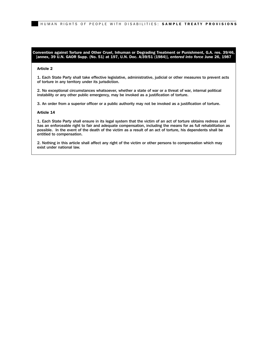## Convention against Torture and Other Cruel, Inhuman or Degrading Treatment or Punishment, G.A. res. 39/46, [annex, 39 U.N. GAOR Supp. (No. 51) at 197, U.N. Doc. A/39/51 (1984)], *entered into force* June 26, 1987

# Article 2

1. Each State Party shall take effective legislative, administrative, judicial or other measures to prevent acts of torture in any territory under its jurisdiction.

2. No exceptional circumstances whatsoever, whether a state of war or a threat of war, internal political instability or any other public emergency, may be invoked as a justification of torture.

3. An order from a superior officer or a public authority may not be invoked as a justification of torture.

#### Article 14

1. Each State Party shall ensure in its legal system that the victim of an act of torture obtains redress and has an enforceable right to fair and adequate compensation, including the means for as full rehabilitation as possible. In the event of the death of the victim as a result of an act of torture, his dependents shall be entitled to compensation.

2. Nothing in this article shall affect any right of the victim or other persons to compensation which may exist under national law.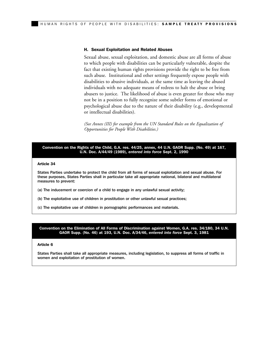#### H. Sexual Exploitation and Related Abuses

Sexual abuse, sexual exploitation, and domestic abuse are all forms of abuse to which people with disabilities can be particularly vulnerable, despite the fact that existing human rights provisions provide the right to be free from such abuse. Institutional and other settings frequently expose people with disabilities to abusive individuals, at the same time as leaving the abused individuals with no adequate means of redress to halt the abuse or bring abusers to justice. The likelihood of abuse is even greater for those who may not be in a position to fully recognize some subtler forms of emotional or psychological abuse due to the nature of their disability (e.g., developmental or intellectual disabilities).

*(See Annex (III) for example from the UN Standard Rules on the Equalization of Opportunities for People With Disabilities.)* 

#### Convention on the Rights of the Child, G.A. res. 44/25, anne x, 44 U.N. GAOR Supp. (No. 49) at 167, U.N. Doc. A/44/49 (1989), *entered into force* Sept. 2, 1990

#### Article 34

States Parties undertake to protect the child from all forms of sexual exploitation and sexual abuse. For these purposes, States Parties shall in particular take all appropriate national, bilateral and multilateral measures to prevent:

(a) The inducement or coercion of a child to engage in any unlawful sexual activity;

(b) The exploitative use of children in prostitution or other unlawful sexual practices;

(c) The exploitative use of children in pornographic performances and materials.

## Convention on the Elimination of All Forms of Discrimination against Women, G.A. res. 34/180, 34 U.N. GAOR Supp. (No. 46) at 193, U.N. Doc. A/34/46, *entered into force* Sept. 3, 1981

## Article 6

States Parties shall take all appropriate measures, including legislation, to suppress all forms of traffic in women and exploitation of prostitution of women.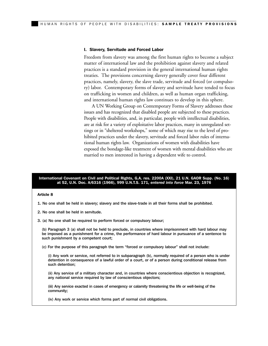#### I. Slavery, Servitude and Forced Labor

Freedom from slavery was among the first human rights to become a subject matter of international law and the prohibition against slavery and related practices is a standard provision in the general international human rights treaties. The provisions concerning slavery generally cover four different practices, namely, slavery, the slave trade, servitude and forced (or compulsory) labor. Contemporary forms of slavery and servitude have tended to focus on trafficking in women and children, as well as human organ trafficking, and international human rights law continues to develop in this sphere.

A UN Working Group on Contemporary Forms of Slavery addresses these issues and has recognized that disabled people are subjected to these practices. People with disabilities, and, in particular, people with intellectual disabilities, are at risk for a variety of exploitative labor practices, many in unregulated settings or in "sheltered workshops," some of which may rise to the level of prohibited practices under the slavery, servitude and forced labor rules of international human rights law. Organizations of women with disabilities have exposed the bondage-like treatment of women with mental disabilities who are married to men interested in having a dependent wife to control.

International Covenant on Civil and Political Rights, G.A. res. 2200A (XXI), 21 U.N. GAOR Supp. (No. 16) at 52, U.N. Doc. A/6316 (1966), 999 U.N.T.S. 171, *entered into force* Mar. 23, 1976

#### Article 8

1. No one shall be held in slavery; slavery and the slave-trade in all their forms shall be prohibited.

2. No one shall be held in servitude.

3. (a) No one shall be required to perform forced or compulsory labour;

(b) Paragraph 3 (a) shall not be held to preclude, in countries where imprisonment with hard labour may be imposed as a punishment for a crime, the performance of hard labour in pursuance of a sentence to such punishment by a competent court;

(c) For the purpose of this paragraph the term "forced or compulsory labour" shall not include:

(i) Any work or service, not referred to in subparagraph (b), normally required of a person who is under detention in consequence of a lawful order of a court, or of a person during conditional release from such detention;

(ii) Any service of a military character and, in countries where conscientious objection is recognized, any national service required by law of conscientious objectors;

(iii) Any service exacted in cases of emergency or calamity threatening the life or well-being of the community;

(iv) Any work or service which forms part of normal civil obligations.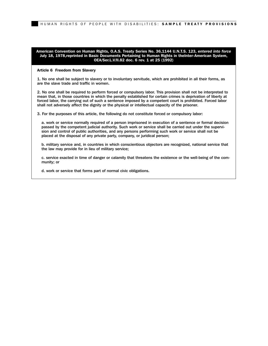## American Convention on Human Rights, O.A.S. Treaty Series No. 36,1144 U.N.T.S. 123, *entered into force*  July 18, 1978,reprinted in Basic Documents Pertaining to Human Rights in theInter-American System, OEA/Ser.L.V/II.82 doc. 6 rev. 1 at 25 (1992)

### Article 6 Freedom from Slavery

1. No one shall be subject to slavery or to involuntary servitude, which are prohibited in all their forms, as are the slave trade and traffic in women.

2. No one shall be required to perform forced or compulsory labor. This provision shall not be interpreted to mean that, in those countries in which the penalty established for certain crimes is deprivation of liberty at forced labor, the carrying out of such a sentence imposed by a competent court is prohibited. Forced labor shall not adversely affect the dignity or the physical or intellectual capacity of the prisoner.

3. For the purposes of this article, the following do not constitute forced or compulsory labor:

a. work or service normally required of a person imprisoned in execution of a sentence or formal decision passed by the competent judicial authority. Such work or service shall be carried out under the supervision and control of public authorities, and any persons performing such work or service shall not be placed at the disposal of any private party, company, or juridical person;

b. military service and, in countries in which conscientious objectors are recognized, national service that the law may provide for in lieu of military service;

c. service exacted in time of danger or calamity that threatens the existence or the well-being of the community; or

d. work or service that forms part of normal civic obligations.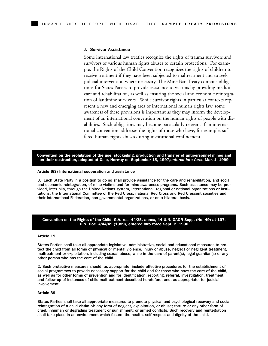#### J. Survivor Assistance

Some international law treaties recognize the rights of trauma survivors and survivors of various human rights abuses to certain protections. For example, the Rights of the Child Convention recognizes the rights of children to receive treatment if they have been subjected to maltreatment and to seek judicial intervention where necessary. The Mine Ban Treaty contains obligations for States Parties to provide assistance to victims by providing medical care and rehabilitation, as well as ensuring the social and economic reintegration of landmine survivors. While survivor rights in particular contexts represent a new and emerging area of international human rights law, some awareness of these provisions is important as they may inform the development of an international convention on the human rights of people with disabilities. Such obligations may become particularly relevant if an international convention addresses the rights of those who have, for example, suffered human rights abuses during institutional confinement.

Convention on the prohibition of the use, stockpiling, production and transfer of antipersonnel mines and on their destruction, adopted at Oslo, Norway on September 18, 1997,*entered into force* Mar. 1, 1999

Article 6(3) International cooperation and assistance

3. Each State Party in a position to do so shall provide assistance for the care and rehabilitation, and social and economic reintegration, of mine victims and for mine awareness programs. Such assistance may be provided, inter alia, through the United Nations system, international, regional or national organizations or institutions, the International Committee of the Red Cross, national Red Cross and Red Crescent societies and their International Federation, non-governmental organizations, or on a bilateral basis.

#### Convention on the Rights of the Child, G.A. res. 44/25, anne x, 44 U.N. GAOR Supp. (No. 49) at 167, U.N. Doc. A/44/49 (1989), *entered into force* Sept. 2, 1990

#### Article 19

States Parties shall take all appropriate legislative, administrative, social and educational measures to protect the child from all forms of physical or mental violence, injury or abuse, neglect or negligent treatment, maltreatment or exploitation, including sexual abuse, while in the care of parent(s), legal guardian(s) or any other person who has the care of the child.

2. Such protective measures should, as appropriate, include effective procedures for the establishment of social programmes to provide necessary support for the child and for those who have the care of the child, as well as for other forms of prevention and for identification, reporting, referral, investigation, treatment and follow-up of instances of child maltreatment described heretofore, and, as appropriate, for judicial involvement.

#### Article 39

States Parties shall take all appropriate measures to promote physical and psychological recovery and social reintegration of a child victim of: any form of neglect, exploitation, or abuse; torture or any other form of cruel, inhuman or degrading treatment or punishment; or armed conflicts. Such recovery and reintegration shall take place in an environment which fosters the health, self-respect and dignity of the child.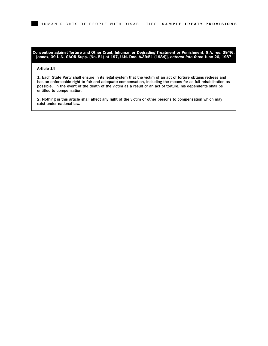Convention against Torture and Other Cruel, Inhuman or Degrading Treatment or Punishment, G.A. res. 39/46, [annex, 39 U.N. GAOR Supp. (No. 51) at 197, U.N. Doc. A/39/51 (1984)], *entered into force* June 26, 1987

## Article 14

1. Each State Party shall ensure in its legal system that the victim of an act of torture obtains redress and has an enforceable right to fair and adequate compensation, including the means for as full rehabilitation as possible. In the event of the death of the victim as a result of an act of torture, his dependents shall be entitled to compensation.

2. Nothing in this article shall affect any right of the victim or other persons to compensation which may exist under national law.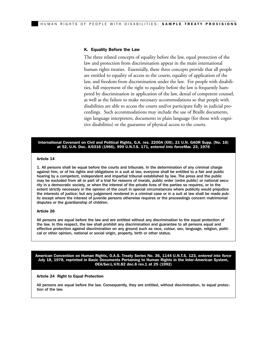## K. Equality Before the Law

The three related concepts of equality before the law, equal protection of the law and protection from discrimination appear in the main international human rights treaties. Essentially, these three concepts provide that all people are entitled to equality of access to the courts, equality of application of the law, and freedom from discrimination under the law. For people with disabilities, full enjoyment of the right to equality before the law is frequently hampered by discrimination in application of the law, denial of competent counsel, as well as the failure to make necessary accommodations so that people with disabilities are able to access the courts and/or participate fully in judicial proceedings. Such accommodations may include the use of Braille documents, sign language interpreters, documents in plain language (for those with cognitive disabilities) or the guarantee of physical access to the courts.

## International Covenant on Civil and Political Rights, G.A. res. 2200A (XXI), 21 U.N. GAOR Supp. (No. 16) at 52, U.N. Doc. A/6316 (1966), 999 U.N.T.S. 171, *entered into force*Mar. 23, 1976

#### Article 14

1. All persons shall be equal before the courts and tribunals. In the determination of any criminal charge against him, or of his rights and obligations in a suit at law, everyone shall be entitled to a fair and public hearing by a competent, independent and impartial tribunal established by law. The press and the public may be excluded from all or part of a trial for reasons of morals, public order (ordre public) or national security in a democratic society, or when the interest of the private lives of the parties so requires, or to the extent strictly necessary in the opinion of the court in special circumstances where publicity would prejudice the interests of justice; but any judgement rendered in a criminal case or in a suit at law shall be made public except where the interest of juvenile persons otherwise requires or the proceedings concern matrimonial disputes or the guardianship of children.

## Article 26

All persons are equal before the law and are entitled without any discrimination to the equal protection of the law. In this respect, the law shall prohibit any discrimination and guarantee to all persons equal and effective protection against discrimination on any ground such as race, colour, sex, language, religion, political or other opinion, national or social origin, property, birth or other status.

American Convention on Human Rights, O.A.S. Treaty Series No. 36, 1144 U.N.T.S. 123, *entered into force*  July 18, 1978, reprinted in Basic Documents Pertaining to Human Rights in the Inter-American System, OEA/Ser.L.V/II.82 doc.6 rev.1 at 25 (1992)

#### Article 24 Right to Equal Protection

All persons are equal before the law. Consequently, they are entitled, without discrimination, to equal protection of the law.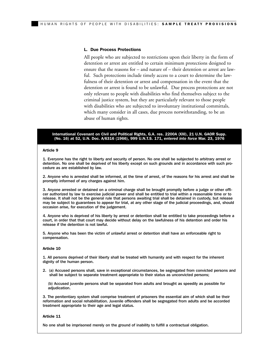## L. Due Process Protections

All people who are subjected to restrictions upon their liberty in the form of detention or arrest are entitled to certain minimum protections designed to ensure that the reasons for – and nature of – their detention or arrest are lawful. Such protections include timely access to a court to determine the lawfulness of their detention or arrest and compensation in the event that the detention or arrest is found to be unlawful. Due process protections are not only relevant to people with disabilities who find themselves subject to the criminal justice system, but they are particularly relevant to those people with disabilities who are subjected to involuntary institutional committals, which many consider in all cases, due process notwithstanding, to be an abuse of human rights.

## International Covenant on Civil and Political Rights, G.A. res. 2200A (XXI), 21 U.N. GAOR Supp. (No. 16) at 52, U.N. Doc. A/6316 (1966), 999 U.N.T.S. 171, *entered into force* Mar. 23, 1976

#### Article 9

1. Everyone has the right to liberty and security of person. No one shall be subjected to arbitrary arrest or detention. No one shall be deprived of his liberty except on such grounds and in accordance with such procedure as are established by law.

2. Anyone who is arrested shall be informed, at the time of arrest, of the reasons for his arrest and shall be promptly informed of any charges against him.

3. Anyone arrested or detained on a criminal charge shall be brought promptly before a judge or other officer authorized by law to exercise judicial power and shall be entitled to trial within a reasonable time or to release. It shall not be the general rule that persons awaiting trial shall be detained in custody, but release may be subject to guarantees to appear for trial, at any other stage of the judicial proceedings, and, should occasion arise, for execution of the judgement.

4. Anyone who is deprived of his liberty by arrest or detention shall be entitled to take proceedings before a court, in order that that court may decide without delay on the lawfulness of his detention and order his release if the detention is not lawful.

5. Anyone who has been the victim of unlawful arrest or detention shall have an enforceable right to compensation.

#### Article 10

1. All persons deprived of their liberty shall be treated with humanity and with respect for the inherent dignity of the human person.

2. (a) Accused persons shall, save in exceptional circumstances, be segregated from convicted persons and shall be subject to separate treatment appropriate to their status as unconvicted persons;

(b) Accused juvenile persons shall be separated from adults and brought as speedily as possible for adjudication.

3. The penitentiary system shall comprise treatment of prisoners the essential aim of which shall be their reformation and social rehabilitation. Juvenile offenders shall be segregated from adults and be accorded treatment appropriate to their age and legal status.

#### Article 11

No one shall be imprisoned merely on the ground of inability to fulfill a contractual obligation.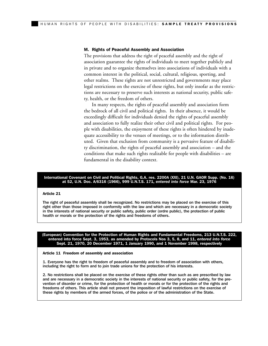#### M. Rights of Peaceful Assembly and Association

The provisions that address the right of peaceful assembly and the right of association guarantee the rights of individuals to meet together publicly and in private and to organize themselves into associations of individuals with a common interest in the political, social, cultural, religious, sporting, and other realms. These rights are not unrestricted and governments may place legal restrictions on the exercise of these rights, but only insofar as the restrictions are necessary to preserve such interests as national security, public safety, health, or the freedom of others.

In many respects, the rights of peaceful assembly and association form the bedrock of all civil and political rights. In their absence, it would be exceedingly difficult for individuals denied the rights of peaceful assembly and association to fully realize their other civil and political rights. For people with disabilities, the enjoyment of these rights is often hindered by inadequate accessibility to the venues of meetings, or to the information distributed. Given that exclusion from community is a pervasive feature of disability discrimination, the rights of peaceful assembly and association – and the conditions that make such rights realizable for people with disabilities – are fundamental in the disability context.

## International Covenant on Civil and Political Rights, G.A. res. 2200A (XXI), 21 U.N. GAOR Supp. (No. 16) at 52, U.N. Doc. A/6316 (1966), 999 U.N.T.S. 171, *entered into force* Mar. 23, 1976

## Article 21

The right of peaceful assembly shall be recognized. No restrictions may be placed on the exercise of this right other than those imposed in conformity with the law and which are necessary in a democratic society in the interests of national security or public safety, public order (ordre public), the protection of public health or morals or the protection of the rights and freedoms of others.

(European) Convention for the Protection of Human Rights and Fundamental Freedoms, 213 U.N.T.S. 222, Sept. 21, 1970, 20 December 1971, 1 Januar y 1990, and 1 November 1998, respectively entered into force Sept. 3, 1953, as amended by Protocols Nos 3, 5, 8, and 11, *entered into force* 

#### Article 11 Freedom of assembly and association

1. Everyone has the right to freedom of peaceful assembly and to freedom of association with others, including the right to form and to join trade unions for the protection of his interests.

2. No restrictions shall be placed on the exercise of these rights other than such as are prescribed by law and are necessary in a democratic society in the interests of national security or public safety, for the prevention of disorder or crime, for the protection of health or morals or for the protection of the rights and freedoms of others. This article shall not prevent the imposition of lawful restrictions on the exercise of these rights by members of the armed forces, of the police or of the administration of the State.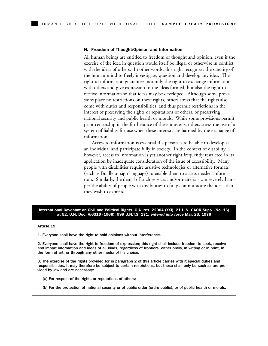#### N. Freedom of Thought/Opinion and Information

All human beings are entitled to freedom of thought and opinion, even if the exercise of the idea in question would itself be illegal or otherwise in conflict with the ideas of others. In other words, this right recognizes the sanctity of the human mind to freely investigate, question and develop any idea. The right to information guarantees not only the right to exchange information with others and give expression to the ideas formed, but also the right to receive information so that ideas may be developed. Although some provisions place no restrictions on these rights, others stress that the rights also come with duties and responsibilities, and thus permit restrictions in the interest of preserving the rights or reputations of others, or preserving national security and public health or morals. While some provisions permit prior censorship in the furtherance of these interests, others stress the use of a system of liability for use when these interests are harmed by the exchange of information.

Access to information is essential if a person is to be able to develop as an individual and participate fully in society. In the context of disability, however, access to information is yet another right frequently restricted in its application by inadequate consideration of the issue of accessibility. Many people with disabilities require assistive technologies or alternative formats (such as Braille or sign language) to enable them to access needed information. Similarly, the denial of such services and/or materials can severely hamper the ability of people with disabilities to fully communicate the ideas that they wish to express.

#### International Covenant on Civil and Political Rights, G.A. res. 2200A (XXI), 21 U.N. GAOR Supp. (No. 16) at 52, U.N. Doc. A/6316 (1966), 999 U.N.T.S. 171, *entered into force* Mar. 23, 1976

#### Article 19

1. Everyone shall have the right to hold opinions without interference.

2. Everyone shall have the right to freedom of expression; this right shall include freedom to seek, receive and impart information and ideas of all kinds, regardless of frontiers, either orally, in writing or in print, in the form of art, or through any other media of his choice.

3. The exercise of the rights provided for in paragraph 2 of this article carries with it special duties and responsibilities. It may therefore be subject to certain restrictions, but these shall only be such as are provided by law and are necessary:

- (a) For respect of the rights or reputations of others;
- (b) For the protection of national security or of public order (ordre public), or of public health or morals.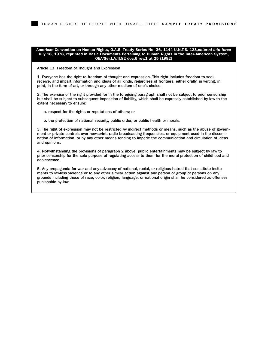#### American Convention on Human Rights, O.A.S. Treaty Series No. 36, 1144 U.N.T.S. 123,*entered into force*  July 18, 1978, reprinted in Basic Documents Pertaining to Human Rights in the Inter-American System, OEA/Ser.L.V/II.82 doc.6 rev.1 at 25 (1992)

Article 13 Freedom of Thought and Expression

1. Everyone has the right to freedom of thought and expression. This right includes freedom to seek, receive, and impart information and ideas of all kinds, regardless of frontiers, either orally, in writing, in print, in the form of art, or through any other medium of one's choice.

2. The exercise of the right provided for in the foregoing paragraph shall not be subject to prior censorship but shall be subject to subsequent imposition of liability, which shall be expressly established by law to the extent necessary to ensure:

- a. respect for the rights or reputations of others; or
- b. the protection of national security, public order, or public health or morals.

3. The right of expression may not be restricted by indirect methods or means, such as the abuse of government or private controls over newsprint, radio broadcasting frequencies, or equipment used in the dissemination of information, or by any other means tending to impede the communication and circulation of ideas and opinions.

4. Notwithstanding the provisions of paragraph 2 above, public entertainments may be subject by law to prior censorship for the sole purpose of regulating access to them for the moral protection of childhood and adolescence.

5. Any propaganda for war and any advocacy of national, racial, or religious hatred that constitute incitements to lawless violence or to any other similar action against any person or group of persons on any grounds including those of race, color, religion, language, or national origin shall be considered as offenses punishable by law.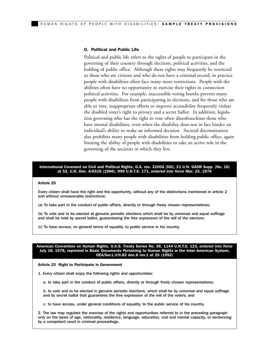## O. Political and Public Life

Political and public life refers to the rights of people to participate in the governing of their country through elections, political activities, and the holding of public office. Although these rights may frequently be restricted to those who are citizens and who do not have a criminal record, in practice people with disabilities often face many more restrictions. People with disabilities often have no opportunity to exercise their rights in connection political activities. For example, inaccessible voting booths prevent many people with disabilities from participating in elections, and for those who are able to vote, inappropriate efforts to improve accessibility frequently violate the disabled voter's right to privacy and a secret ballot. In addition, legislation governing who has the right to vote often disenfranchises those who have mental disabilities, even when the disability does not in fact hinder an individual's ability to make an informed decision. Societal discrimination also prohibits many people with disabilities from holding public office, again limiting the ability of people with disabilities to take an active role in the governing of the societies in which they live.

#### International Covenant on Civil and Political Rights, G.A. res. 2200A (XXI), 21 U.N. GAOR Supp. (No. 16) at 52, U.N. Doc. A/6316 (1966), 999 U.N.T.S. 171, *entered into force* Mar. 23, 1976

#### Article 25

Every citizen shall have the right and the opportunity, without any of the distinctions mentioned in article 2 and without unreasonable restrictions:

(a) To take part in the conduct of public affairs, directly or through freely chosen representatives;

(b) To vote and to be elected at genuine periodic elections which shall be by universal and equal suffrage and shall be held by secret ballot, guaranteeing the free expression of the will of the electors;

(c) To have access, on general terms of equality, to public service in his country.

#### American Convention on Human Rights, O.A.S. Treaty Series No. 36, 1144 U.N.T.S. 123, *entered into force*  July 18, 1978, reprinted in Basic Documents Pertaining to Human Rights in the Inter-American System, OEA/Ser.L.V/II.82 doc.6 rev.1 at 25 (1992)

#### Article 23 Right to Participate in Government

1. Every citizen shall enjoy the following rights and opportunities:

a. to take part in the conduct of public affairs, directly or through freely chosen representatives;

b. to vote and to be elected in genuine periodic elections, which shall be by universal and equal suffrage and by secret ballot that guarantees the free expression of the will of the voters; and

c. to have access, under general conditions of equality, to the public service of his country.

2. The law may regulate the exercise of the rights and opportunities referred to in the preceding paragraph only on the basis of age, nationality, residence, language, education, civil and mental capacity, or sentencing by a competent court in criminal proceedings.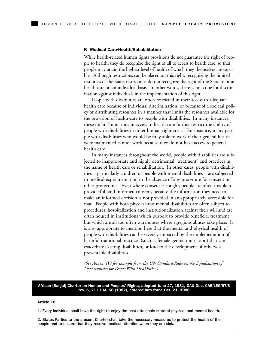#### P. Medical Care/Health/Rehabilitation

While health-related human rights provisions do not guarantee the right of people to health, they do recognize the right of all to access to health care, so that people may attain the highest level of health of which they themselves are capable. Although restrictions can be placed on this right, recognizing the limited resources of the State, restrictions do not recognize the right of the State to limit health care on an individual basis. In other words, there is no scope for discrimination against individuals in the implementation of this right.

People with disabilities are often restricted in their access to adequate health care because of individual discrimination, or because of a societal policy of distributing resources in a manner that limits the resources available for the provision of health-care to people with disabilities. In many instances, these unfair limitations in access to health care further restrict the ability of people with disabilities in other human right areas. For instance, many people with disabilities who would be fully able to work if their general health were maintained cannot work because they do not have access to general health care.

In many instances throughout the world, people with disabilities are subjected to inappropriate and highly detrimental "treatment" and practices in the name of health care or rehabilitation. In other cases, people with disabilities – particularly children or people with mental disabilities – are subjected to medical experimentation in the absence of any procedure for consent or other protections. Even where consent is sought, people are often unable to provide full and informed consent, because the information they need to make an informed decision is not provided in an appropriately accessible format. People with both physical and mental disabilities are often subject to procedures, hospitalization and institutionalization against their will and are often housed in institutions which purport to provide beneficial treatment but which are all too often warehouses where egregious abuses take place. It is also appropriate to mention here that the mental and physical health of people with disabilities can be severely impacted by the implementation of harmful traditional practices (such as female genital mutilation) that can exacerbate existing disabilities, or lead to the development of otherwise preventable disabilities.

*(See Annex (IV) for example from the UN Standard Rules on the Equalization of Opportunities for People With Disabilities.)* 

# African [Banjul] Charter on Human and Peoples' Rights, adopted June 27, 1981, OAU Doc. CAB/LEG/67/3 rev. 5, 21 I.L.M. 58 (1982), *entered into force* Oct. 21, 1986

## Article 16

1. Every individual shall have the right to enjoy the best attainable state of physical and mental health.

2. States Parties to the present Charter shall take the necessary measures to protect the health of their people and to ensure that they receive medical attention when they are sick.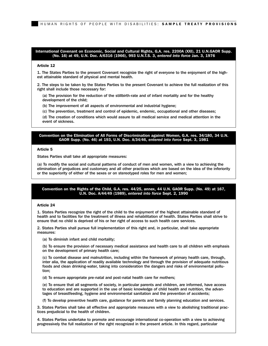## International Covenant on Economic, Social and Cultural Rights, G.A. res. 2200A (XXI), 21 U.N.GAOR Supp. (No. 16) at 49, U.N. Doc. A/6316 (1966), 993 U.N.T.S. 3, *entered into force* Jan. 3, 1976

#### Article 12

1. The States Parties to the present Covenant recognize the right of everyone to the enjoyment of the highest attainable standard of physical and mental health.

2. The steps to be taken by the States Parties to the present Covenant to achieve the full realization of this right shall include those necessary for:

(a) The provision for the reduction of the stillbirth-rate and of infant mortality and for the healthy development of the child;

(b) The improvement of all aspects of environmental and industrial hygiene;

(c) The prevention, treatment and control of epidemic, endemic, occupational and other diseases;

(d) The creation of conditions which would assure to all medical service and medical attention in the event of sickness.

## Convention on the Elimination of All Forms of Discrimination against Women, G.A. res. 34/180, 34 U.N. GAOR Supp. (No. 46) at 193, U.N. Doc. A/34/46, *entered into force* Sept. 3, 1981

#### Article 5

States Parties shall take all appropriate measures:

(a) To modify the social and cultural patterns of conduct of men and women, with a view to achieving the elimination of prejudices and customary and all other practices which are based on the idea of the inferiority or the superiority of either of the sexes or on stereotyped roles for men and women;

#### Convention on the Rights of the Child, G.A. res. 44/25, anne x, 44 U.N. GAOR Supp. (No. 49) at 167, U.N. Doc. A/44/49 (1989), *entered into force* Sept. 2, 1990

#### Article 24

1. States Parties recognize the right of the child to the enjoyment of the highest attainable standard of health and to facilities for the treatment of illness and rehabilitation of health. States Parties shall strive to ensure that no child is deprived of his or her right of access to such health care services.

2. States Parties shall pursue full implementation of this right and, in particular, shall take appropriate measures:

(a) To diminish infant and child mortality;

(b) To ensure the provision of necessary medical assistance and health care to all children with emphasis on the development of primary health care;

(c) To combat disease and malnutrition, including within the framework of primary health care, through, inter alia, the application of readily available technology and through the provision of adequate nutritious foods and clean drinking-water, taking into consideration the dangers and risks of environmental pollution;

(d) To ensure appropriate pre-natal and post-natal health care for mothers;

(e) To ensure that all segments of society, in particular parents and children, are informed, have access to education and are supported in the use of basic knowledge of child health and nutrition, the advantages of breastfeeding, hygiene and environmental sanitation and the prevention of accidents;

(f) To develop preventive health care, guidance for parents and family planning education and services.

3. States Parties shall take all effective and appropriate measures with a view to abolishing traditional practices prejudicial to the health of children.

4. States Parties undertake to promote and encourage international co-operation with a view to achieving progressively the full realization of the right recognized in the present article. In this regard, particular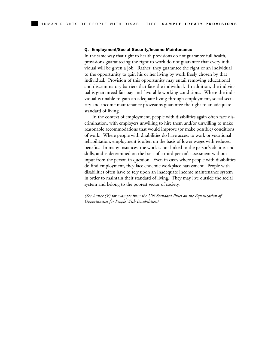## Q. Employment/Social Security/Income Maintenance

In the same way that right to health provisions do not guarantee full health, provisions guaranteeing the right to work do not guarantee that every individual will be given a job. Rather, they guarantee the right of an individual to the opportunity to gain his or her living by work freely chosen by that individual. Provision of this opportunity may entail removing educational and discriminatory barriers that face the individual. In addition, the individual is guaranteed fair pay and favorable working conditions. Where the individual is unable to gain an adequate living through employment, social security and income maintenance provisions guarantee the right to an adequate standard of living.

In the context of employment, people with disabilities again often face discrimination, with employers unwilling to hire them and/or unwilling to make reasonable accommodations that would improve (or make possible) conditions of work. Where people with disabilities do have access to work or vocational rehabilitation, employment is often on the basis of lower wages with reduced benefits. In many instances, the work is not linked to the person's abilities and skills, and is determined on the basis of a third person's assessment without input from the person in question. Even in cases where people with disabilities do find employment, they face endemic workplace harassment. People with disabilities often have to rely upon an inadequate income maintenance system in order to maintain their standard of living. They may live outside the social system and belong to the poorest sector of society.

*(See Annex (V) for example from the UN Standard Rules on the Equalization of Opportunities for People With Disabilities.)*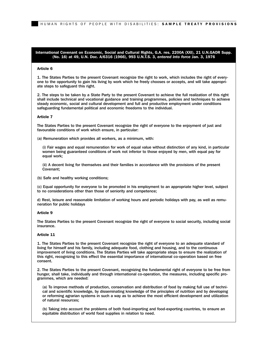#### International Covenant on Economic, Social and Cultural Rights, G.A. res. 2200A (XXI), 21 U.N.GAOR Supp. (No. 16) at 49, U.N. Doc. A/6316 (1966), 993 U.N.T.S. 3, *entered into force* Jan. 3, 1976

#### Article 6

1. The States Parties to the present Covenant recognize the right to work, which includes the right of everyone to the opportunity to gain his living by work which he freely chooses or accepts, and will take appropriate steps to safeguard this right.

2. The steps to be taken by a State Party to the present Covenant to achieve the full realization of this right shall include technical and vocational guidance and training programmes, policies and techniques to achieve steady economic, social and cultural development and full and productive employment under conditions safeguarding fundamental political and economic freedoms to the individual.

#### Article 7

The States Parties to the present Covenant recognize the right of everyone to the enjoyment of just and favourable conditions of work which ensure, in particular:

(a) Remuneration which provides all workers, as a minimum, with:

(i) Fair wages and equal remuneration for work of equal value without distinction of any kind, in particular women being guaranteed conditions of work not inferior to those enjoyed by men, with equal pay for equal work;

(ii) A decent living for themselves and their families in accordance with the provisions of the present Covenant;

(b) Safe and healthy working conditions;

(c) Equal opportunity for everyone to be promoted in his employment to an appropriate higher level, subject to no considerations other than those of seniority and competence;

d) Rest, leisure and reasonable limitation of working hours and periodic holidays with pay, as well as remuneration for public holidays

#### Article 9

The States Parties to the present Covenant recognize the right of everyone to social security, including social insurance.

#### Article 11

1. The States Parties to the present Covenant recognize the right of everyone to an adequate standard of living for himself and his family, including adequate food, clothing and housing, and to the continuous improvement of living conditions. The States Parties will take appropriate steps to ensure the realization of this right, recognizing to this effect the essential importance of international co-operation based on free consent.

2. The States Parties to the present Covenant, recognizing the fundamental right of everyone to be free from hunger, shall take, individually and through international co-operation, the measures, including specific programmes, which are needed:

(a) To improve methods of production, conservation and distribution of food by making full use of technical and scientific knowledge, by disseminating knowledge of the principles of nutrition and by developing or reforming agrarian systems in such a way as to achieve the most efficient development and utilization of natural resources;

(b) Taking into account the problems of both food-importing and food-exporting countries, to ensure an equitable distribution of world food supplies in relation to need.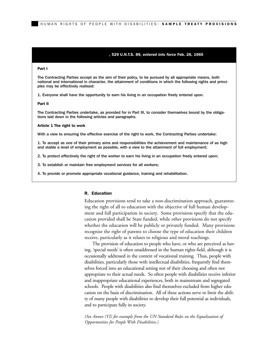#### European Social Charter, 529 U.N.T.S. 89, *entered into force* Feb. 26, 1965

#### Part I

The Contracting Parties accept as the aim of their policy, to be pursued by all appropriate means, both national and international in character, the attainment of conditions in which the following rights and principles may be effectively realised:

1. Everyone shall have the opportunity to earn his living in an occupation freely entered upon.

#### Part II

The Contracting Parties undertake, as provided for in Part III, to consider themselves bound by the obligations laid down in the following articles and paragraphs.

#### Article 1 The right to work

With a view to ensuring the effective exercise of the right to work, the Contracting Parties undertake:

1. To accept as one of their primary aims and responsibilities the achievement and maintenance of as high and stable a level of employment as possible, with a view to the attainment of full employment;

2. To protect effectively the right of the worker to earn his living in an occupation freely entered upon;

3. To establish or maintain free employment services for all workers;

4. To provide or promote appropriate vocational guidance, training and rehabilitation.

### R. Education

Education provisions tend to take a non-discrimination approach, guaranteeing the right of all to education with the objective of full human development and full participation in society. Some provisions specify that the education provided shall be State funded, while other provisions do not specify whether the education will be publicly or privately funded. Many provisions recognize the right of parents to choose the type of education their children receive, particularly as it relates to religious and moral teachings.

The provision of education to people who have, or who are perceived as having, 'special needs' is often unaddressed in the human rights field, although it is occasionally addressed in the context of vocational training. Thus, people with disabilities, particularly those with intellectual disabilities, frequently find themselves forced into an educational setting not of their choosing and often not appropriate to their actual needs. So often people with disabilities receive inferior and inappropriate educational experiences, both in mainstream and segregated schools. People with disabilities also find themselves excluded from higher education on the basis of discrimination. All of these actions serve to limit the ability of many people with disabilities to develop their full potential as individuals, and to participate fully in society.

*(See Annex (VI) for example from the UN Standard Rules on the Equalization of Opportunities for People With Disabilities.)*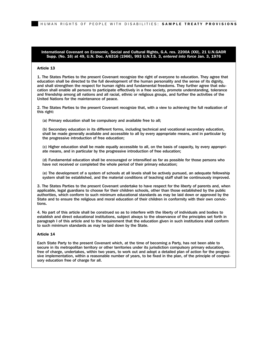### International Covenant on Economic, Social and Cultural Rights, G.A. res. 2200A (XXI), 21 U.N.GAOR Supp. (No. 16) at 49, U.N. Doc. A/6316 (1966), 993 U.N.T.S. 3, *entered into force* Jan. 3, 1976

### Article 13

1. The States Parties to the present Covenant recognize the right of everyone to education. They agree that education shall be directed to the full development of the human personality and the sense of its dignity, and shall strengthen the respect for human rights and fundamental freedoms. They further agree that education shall enable all persons to participate effectively in a free society, promote understanding, tolerance and friendship among all nations and all racial, ethnic or religious groups, and further the activities of the United Nations for the maintenance of peace.

2. The States Parties to the present Covenant recognize that, with a view to achieving the full realization of this right:

(a) Primary education shall be compulsory and available free to all;

(b) Secondary education in its different forms, including technical and vocational secondary education, shall be made generally available and accessible to all by every appropriate means, and in particular by the progressive introduction of free education;

(c) Higher education shall be made equally accessible to all, on the basis of capacity, by every appropriate means, and in particular by the progressive introduction of free education;

(d) Fundamental education shall be encouraged or intensified as far as possible for those persons who have not received or completed the whole period of their primary education;

(e) The development of a system of schools at all levels shall be actively pursued, an adequate fellowship system shall be established, and the material conditions of teaching staff shall be continuously improved.

3. The States Parties to the present Covenant undertake to have respect for the liberty of parents and, when applicable, legal guardians to choose for their children schools, other than those established by the public authorities, which conform to such minimum educational standards as may be laid down or approved by the State and to ensure the religious and moral education of their children in conformity with their own convictions.

4. No part of this article shall be construed so as to interfere with the liberty of individuals and bodies to establish and direct educational institutions, subject always to the observance of the principles set forth in paragraph I of this article and to the requirement that the education given in such institutions shall conform to such minimum standards as may be laid down by the State.

## Article 14

Each State Party to the present Covenant which, at the time of becoming a Party, has not been able to secure in its metropolitan territory or other territories under its jurisdiction compulsory primary education, free of charge, undertakes, within two years, to work out and adopt a detailed plan of action for the progressive implementation, within a reasonable number of years, to be fixed in the plan, of the principle of compulsory education free of charge for all.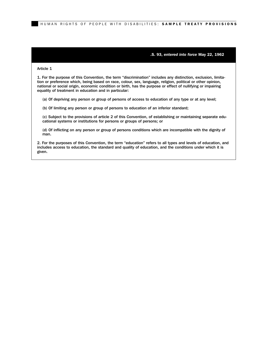Convention against Discrimination in Education, 429 U.N.T.S. 93, *entered into force* May 22, 1962

## Article 1

1. For the purpose of this Convention, the term "discrimination" includes any distinction, exclusion, limitation or preference which, being based on race, colour, sex, language, religion, political or other opinion, national or social origin, economic condition or birth, has the purpose or effect of nullifying or impairing equality of treatment in education and in particular:

(a) Of depriving any person or group of persons of access to education of any type or at any level;

(b) Of limiting any person or group of persons to education of an inferior standard;

(c) Subject to the provisions of article 2 of this Convention, of establishing or maintaining separate educational systems or institutions for persons or groups of persons; or

(d) Of inflicting on any person or group of persons conditions which are incompatible with the dignity of man.

2. For the purposes of this Convention, the term "education" refers to all types and levels of education, and includes access to education, the standard and quality of education, and the conditions under which it is given.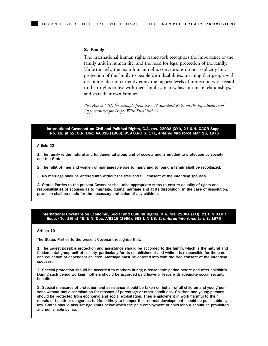# S. Family

The international human rights framework recognizes the importance of the family unit in human life, and the need for legal protection of the family. Unfortunately, the main human rights conventions do not explicitly link protection of the family to people with disabilities, meaning that people with disabilities do not currently enjoy the highest levels of protection with regard to their rights to live with their families, marry, have intimate relationships, and start their own families.

*(See Annex (VII) for example from the UN Standard Rules on the Equalization of Opportunities for People With Disabilities.)* 

## International Covenant on Civil and Political Rights, G.A. res. 2200A (XXI), 21 U.N. GAOR Supp. (No. 16) at 52, U.N. Doc. A/6316 (1966), 999 U.N.T.S. 171, *entered into force* Mar. 23, 1976

Article 23

1. The family is the natural and fundamental group unit of society and is entitled to protection by society and the State.

2. The right of men and women of marriageable age to marry and to found a family shall be recognized.

3. No marriage shall be entered into without the free and full consent of the intending spouses.

4. States Parties to the present Covenant shall take appropriate steps to ensure equality of rights and responsibilities of spouses as to marriage, during marriage and at its dissolution. In the case of dissolution, provision shall be made for the necessary protection of any children.

## International Covenant on Economic, Social and Cultural Rights, G.A. res. 2200A (XXI), 21 U.N.GAOR Supp. (No. 16) at 49, U.N. Doc. A/6316 (1966), 993 U.N.T.S. 3, *entered into force* Jan. 3, 1976

## Article 10

The States Parties to the present Covenant recognize that:

1. The widest possible protection and assistance should be accorded to the family, which is the natural and fundamental group unit of society, particularly for its establishment and while it is responsible for the care and education of dependent children. Marriage must be entered into with the free consent of the intending spouses.

2. Special protection should be accorded to mothers during a reasonable period before and after childbirth. During such period working mothers should be accorded paid leave or leave with adequate social security benefits.

3. Special measures of protection and assistance should be taken on behalf of all children and young persons without any discrimination for reasons of parentage or other conditions. Children and young persons should be protected from economic and social exploitation. Their employment in work harmful to their morals or health or dangerous to life or likely to hamper their normal development should be punishable by law. States should also set age limits below which the paid employment of child labour should be prohibited and punishable by law.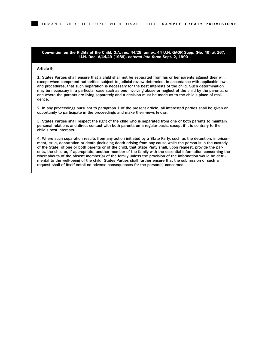### Convention on the Rights of the Child, G.A. res. 44/25, anne x, 44 U.N. GAOR Supp. (No. 49) at 167, U.N. Doc. A/44/49 (1989), *entered into force* Sept. 2, 1990

# Article 9

1. States Parties shall ensure that a child shall not be separated from his or her parents against their will, except when competent authorities subject to judicial review determine, in accordance with applicable law and procedures, that such separation is necessary for the best interests of the child. Such determination may be necessary in a particular case such as one involving abuse or neglect of the child by the parents, or one where the parents are living separately and a decision must be made as to the child's place of residence.

2. In any proceedings pursuant to paragraph 1 of the present article, all interested parties shall be given an opportunity to participate in the proceedings and make their views known.

3. States Parties shall respect the right of the child who is separated from one or both parents to maintain personal relations and direct contact with both parents on a regular basis, except if it is contrary to the child's best interests.

4. Where such separation results from any action initiated by a State Party, such as the detention, imprisonment, exile, deportation or death (including death arising from any cause while the person is in the custody of the State) of one or both parents or of the child, that State Party shall, upon request, provide the parents, the child or, if appropriate, another member of the family with the essential information concerning the whereabouts of the absent member(s) of the family unless the provision of the information would be detrimental to the well-being of the child. States Parties shall further ensure that the submission of such a request shall of itself entail no adverse consequences for the person(s) concerned.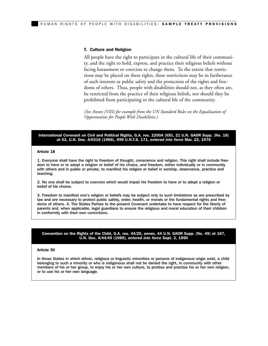## T. Culture and Religion

All people have the right to participate in the cultural life of their community, and the right to hold, express, and practice their religious beliefs without facing harassment or coercion to change them. To the extent that restrictions may be placed on these rights, these restrictions may be in furtherance of such interests as public safety and the protection of the rights and freedoms of others. Thus, people with disabilities should not, as they often are, be restricted from the practice of their religious beliefs, nor should they be prohibited from participating in the cultural life of the community.

*(See Annex (VIII) for example from the UN Standard Rules on the Equalization of Opportunities for People With Disabilities.)* 

# International Covenant on Civil and Political Rights, G.A. res. 2200A (XXI), 21 U.N. GAOR Supp. (No. 16) at 52, U.N. Doc. A/6316 (1966), 999 U.N.T.S. 171, *entered into force* Mar. 23, 1976

## Article 18

1. Everyone shall have the right to freedom of thought, conscience and religion. This right shall include freedom to have or to adopt a religion or belief of his choice, and freedom, either individually or in community with others and in public or private, to manifest his religion or belief in worship, observance, practice and teaching.

2. No one shall be subject to coercion which would impair his freedom to have or to adopt a religion or belief of his choice.

3. Freedom to manifest one's religion or beliefs may be subject only to such limitations as are prescribed by law and are necessary to protect public safety, order, health, or morals or the fundamental rights and freedoms of others. 4. The States Parties to the present Covenant undertake to have respect for the liberty of parents and, when applicable, legal guardians to ensure the religious and moral education of their children in conformity with their own convictions.

### Convention on the Rights of the Child, G.A. res. 44/25, anne x, 44 U.N. GAOR Supp. (No. 49) at 167, U.N. Doc. A/44/49 (1989), *entered into force* Sept. 2, 1990

### Article 30

In those States in which ethnic, religious or linguistic minorities or persons of indigenous origin exist, a child belonging to such a minority or who is indigenous shall not be denied the right, in community with other members of his or her group, to enjoy his or her own culture, to profess and practise his or her own religion, or to use his or her own language.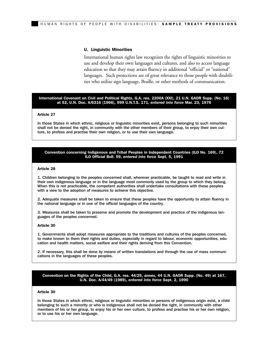## U. Linguistic Minorities

International human rights law recognizes the rights of linguistic minorities to use and develop their own languages and cultures, and also to access language education so that they may attain fluency in additional "official" or "national" languages. Such protections are of great relevance to those people with disabilities who utilize sign language, Braille, or other methods of communication.

# International Covenant on Civil and Political Rights, G.A. res. 2200A (XXI), 21 U.N. GAOR Supp. (No. 16) at 52, U.N. Doc. A/6316 (1966), 999 U.N.T.S. 171, *entered into force* Mar. 23, 1976

### Article 27

In those States in which ethnic, religious or linguistic minorities exist, persons belonging to such minorities shall not be denied the right, in community with the other members of their group, to enjoy their own culture, to profess and practise their own religion, or to use their own language.

## Convention concerning Indigenous and Tribal Peoples in Independent Countries (ILO No. 169), 72 ILO Official Bull. 59, *entered into force* Sept. 5, 1991

# Article 28

1. Children belonging to the peoples concerned shall, wherever practicable, be taught to read and write in their own indigenous language or in the language most commonly used by the group to which they belong. When this is not practicable, the competent authorities shall undertake consultations with these peoples with a view to the adoption of measures to achieve this objective.

2. Adequate measures shall be taken to ensure that these peoples have the opportunity to attain fluency in the national language or in one of the official languages of the country.

3. Measures shall be taken to preserve and promote the development and practice of the indigenous languages of the peoples concerned.

## Article 30

1. Governments shall adopt measures appropriate to the traditions and cultures of the peoples concerned, to make known to them their rights and duties, especially in regard to labour, economic opportunities, education and health matters, social welfare and their rights deriving from this Convention.

2. If necessary, this shall be done by means of written translations and through the use of mass communications in the languages of these peoples.

### Convention on the Rights of the Child, G.A. res. 44/25, anne x, 44 U.N. GAOR Supp. (No. 49) at 167, U.N. Doc. A/44/49 (1989), *entered into force* Sept. 2, 1990

### Article 30

In those States in which ethnic, religious or linguistic minorities or persons of indigenous origin exist, a child belonging to such a minority or who is indigenous shall not be denied the right, in community with other members of his or her group, to enjoy his or her own culture, to profess and practise his or her own religion, or to use his or her own language.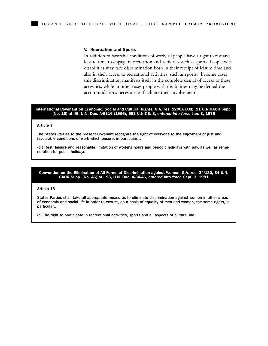# V. Recreation and Sports

In addition to favorable conditions of work, all people have a right to rest and leisure time to engage in recreation and activities such as sports. People with disabilities may face discrimination both in their receipt of leisure time and also in their access to recreational activities, such as sports. In some cases this discrimination manifests itself in the complete denial of access to these activities, while in other cases people with disabilities may be denied the accommodations necessary to facilitate their involvement.

## International Covenant on Economic, Social and Cultural Rights, G.A. res. 2200A (XXI), 21 U.N.GAOR Supp. (No. 16) at 49, U.N. Doc. A/6316 (1966), 993 U.N.T.S. 3, *entered into force* Jan. 3, 1976

#### Article 7

The States Parties to the present Covenant recognize the right of everyone to the enjoyment of just and favourable conditions of work which ensure, in particular…

(d ) Rest, leisure and reasonable limitation of working hours and periodic holidays with pay, as well as remuneration for public holidays

## Convention on the Elimination of All Forms of Discrimination against Women, G.A. res. 34/180, 34 U.N. GAOR Supp. (No. 46) at 193, U.N. Doc. A/34/46, *entered into force* Sept. 3, 1981

## Article 13

States Parties shall take all appropriate measures to eliminate discrimination against women in other areas of economic and social life in order to ensure, on a basis of equality of men and women, the same rights, in particular…

(c) The right to participate in recreational activities, sports and all aspects of cultural life.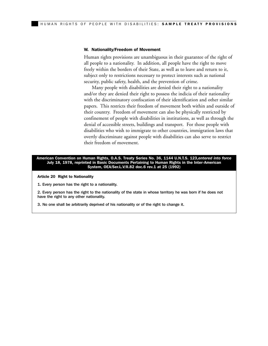### W. Nationality/Freedom of Movement

Human rights provisions are unambiguous in their guarantee of the right of all people to a nationality. In addition, all people have the right to move freely within the borders of their State, as well as to leave and return to it, subject only to restrictions necessary to protect interests such as national security, public safety, health, and the prevention of crime.

Many people with disabilities are denied their right to a nationality and/or they are denied their right to possess the indicia of their nationality with the discriminatory confiscation of their identification and other similar papers. This restricts their freedom of movement both within and outside of their country. Freedom of movement can also be physically restricted by confinement of people with disabilities in institutions, as well as through the denial of accessible streets, buildings and transport. For those people with disabilities who wish to immigrate to other countries, immigration laws that overtly discriminate against people with disabilities can also serve to restrict their freedom of movement.

## American Convention on Human Rights, O.A.S. Treaty Series No. 36, 1144 U.N.T.S. 123,*entered into force*  July 18, 1978, reprinted in Basic Documents Pertaining to Human Rights in the Inter-American System, OEA/Ser.L.V/II.82 doc.6 rev.1 at 25 (1992)

Article 20 Right to Nationality

1. Every person has the right to a nationality.

2. Every person has the right to the nationality of the state in whose territory he was born if he does not have the right to any other nationality.

3. No one shall be arbitrarily deprived of his nationality or of the right to change it.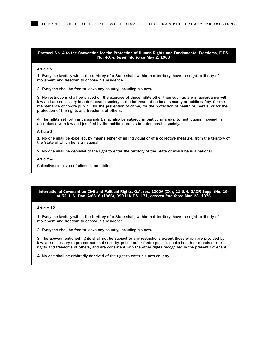### Protocol No. 4 to the Convention for the Protection of Human Rights and Fundamental Freedoms, E.T .S. No. 46, *entered into force* May 2, 1968

## Article 2

1. Everyone lawfully within the territory of a State shall, within that territory, have the right to liberty of movement and freedom to choose his residence.

2. Everyone shall be free to leave any country, including his own.

3. No restrictions shall be placed on the exercise of these rights other than such as are in accordance with law and are necessary in a democratic society in the interests of national security or public safety, for the maintenance of "ordre public", for the prevention of crime, for the protection of health or morals, or for the protection of the rights and freedoms of others.

4. The rights set forth in paragraph 1 may also be subject, in particular areas, to restrictions imposed in accordance with law and justified by the public interests in a democratic society.

### Article 3

1. No one shall be expelled, by means either of an individual or of a collective measure, from the territory of the State of which he is a national.

2. No one shall be deprived of the right to enter the territory of the State of which he is a national.

## Article 4

Collective expulsion of aliens is prohibited.

## International Covenant on Civil and Political Rights, G.A. res. 2200A (XXI), 21 U.N. GAOR Supp. (No. 16) at 52, U.N. Doc. A/6316 (1966), 999 U.N.T.S. 171, *entered into force* Mar. 23, 1976

### Article 12

1. Everyone lawfully within the territory of a State shall, within that territory, have the right to liberty of movement and freedom to choose his residence.

2. Everyone shall be free to leave any country, including his own.

3. The above-mentioned rights shall not be subject to any restrictions except those which are provided by law, are necessary to protect national security, public order (ordre public), public health or morals or the rights and freedoms of others, and are consistent with the other rights recognized in the present Covenant.

4. No one shall be arbitrarily deprived of the right to enter his own country.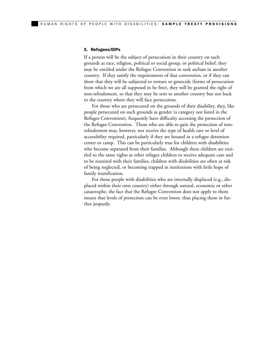## X. Refugees/IDPs

If a person will be the subject of persecution in their country on such grounds as race, religion, political or social group, or political belief, they may be entitled under the Refugee Convention to seek asylum in another country. If they satisfy the requirements of that convention, or if they can show that they will be subjected to torture or genocide (forms of persecution from which we are all supposed to be free), they will be granted the right of non-refoulement, so that they may be sent to another country but not back to the country where they will face persecution.

For those who are persecuted on the grounds of their disability, they, like people persecuted on such grounds as gender (a category not listed in the Refugee Convention), frequently have difficulty accessing the protection of the Refugee Convention. Those who are able to gain the protection of nonrefoulement may, however, not receive the type of health care or level of accessibility required, particularly if they are housed in a refugee detention center or camp. This can be particularly true for children with disabilities who become separated from their families. Although these children are entitled to the same rights as other refugee children to receive adequate care and to be reunited with their families, children with disabilities are often at risk of being neglected, or becoming trapped in institutions with little hope of family reunification.

For those people with disabilities who are internally displaced (e.g., displaced within their own country) either through natural, economic or other catastrophe, the fact that the Refugee Convention does not apply to them means that levels of protection can be even lower, thus placing them in further jeopardy.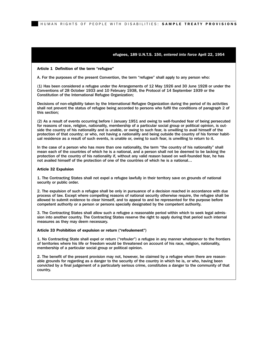### efugees, 189 U.N.T.S. 150, entered into force April 22, 1954

#### Article 1 Definition of the term "refugee"

A. For the purposes of the present Convention, the term "refugee" shall apply to any person who:

(1) Has been considered a refugee under the Arrangements of 12 May 1926 and 30 June 1928 or under the Conventions of 28 October 1933 and 10 February 1938, the Protocol of 14 September 1939 or the Constitution of the International Refugee Organization;

Decisions of non-eligibility taken by the International Refugee Organization during the period of its activities shall not prevent the status of refugee being accorded to persons who fulfil the conditions of paragraph 2 of this section;

(2) As a result of events occurring before I January 1951 and owing to well-founded fear of being persecuted for reasons of race, religion, nationality, membership of a particular social group or political opinion, is outside the country of his nationality and is unable, or owing to such fear, is unwilling to avail himself of the protection of that country; or who, not having a nationality and being outside the country of his former habitual residence as a result of such events, is unable or, owing to such fear, is unwilling to return to it.

In the case of a person who has more than one nationality, the term "the country of his nationality" shall mean each of the countries of which he is a national, and a person shall not be deemed to be lacking the protection of the country of his nationality if, without any valid reason based on well-founded fear, he has not availed himself of the protection of one of the countries of which he is a national…

#### Article 32 Expulsion

1. The Contracting States shall not expel a refugee lawfully in their territory save on grounds of national security or public order.

2. The expulsion of such a refugee shall be only in pursuance of a decision reached in accordance with due process of law. Except where compelling reasons of national security otherwise require, the refugee shall be allowed to submit evidence to clear himself, and to appeal to and be represented for the purpose before competent authority or a person or persons specially designated by the competent authority.

3. The Contracting States shall allow such a refugee a reasonable period within which to seek legal admission into another country. The Contracting States reserve the right to apply during that period such internal measures as they may deem necessary.

Article 33 Prohibition of expulsion or return ("refoulement")

1. No Contracting State shall expel or return ("refouler") a refugee in any manner whatsoever to the frontiers of territories where his life or freedom would be threatened on account of his race, religion, nationality, membership of a particular social group or political opinion.

2. The benefit of the present provision may not, however, be claimed by a refugee whom there are reasonable grounds for regarding as a danger to the security of the country in which he is, or who, having been convicted by a final judgement of a particularly serious crime, constitutes a danger to the community of that country.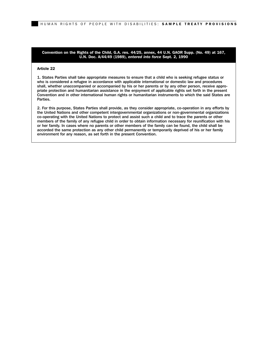### Convention on the Rights of the Child, G.A. res. 44/25, anne x, 44 U.N. GAOR Supp. (No. 49) at 167, U.N. Doc. A/44/49 (1989), *entered into force* Sept. 2, 1990

# Article 22

1. States Parties shall take appropriate measures to ensure that a child who is seeking refugee status or who is considered a refugee in accordance with applicable international or domestic law and procedures shall, whether unaccompanied or accompanied by his or her parents or by any other person, receive appropriate protection and humanitarian assistance in the enjoyment of applicable rights set forth in the present Convention and in other international human rights or humanitarian instruments to which the said States are Parties.

2. For this purpose, States Parties shall provide, as they consider appropriate, co-operation in any efforts by the United Nations and other competent intergovernmental organizations or non-governmental organizations co-operating with the United Nations to protect and assist such a child and to trace the parents or other members of the family of any refugee child in order to obtain information necessary for reunification with his or her family. In cases where no parents or other members of the family can be found, the child shall be accorded the same protection as any other child permanently or temporarily deprived of his or her family environment for any reason, as set forth in the present Convention.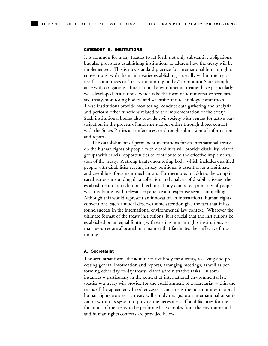### CATEGORY III. INSTITUTIONS

It is common for many treaties to set forth not only substantive obligations, but also provisions establishing institutions to address how the treaty will be implemented. This is now standard practice for international human rights conventions, with the main treaties establishing – usually within the treaty itself – committees or "treaty-monitoring bodies" to monitor State compliance with obligations. International environmental treaties have particularly well-developed institutions, which take the form of administrative secretariats, treaty-monitoring bodies, and scientific and technology committees. These institutions provide monitoring, conduct data gathering and analysis and perform other functions related to the implementation of the treaty. Such institutional bodies also provide civil society with venues for active participation in the process of implementation, either through direct contact with the States Parties at conferences, or through submission of information and reports.

The establishment of permanent institutions for an international treaty on the human rights of people with disabilities will provide disability-related groups with crucial opportunities to contribute to the effective implementation of the treaty. A strong treaty-monitoring body, which includes qualified people with disabilities serving in key positions, is essential for a legitimate and credible enforcement mechanism. Furthermore, to address the complicated issues surrounding data collection and analysis of disability issues, the establishment of an additional technical body composed primarily of people with disabilities with relevant experience and expertise seems compelling. Although this would represent an innovation in international human rights conventions, such a model deserves some attention give the fact that it has found success in the international environmental law context. Whatever the ultimate format of the treaty institutions, it is crucial that the institutions be established on an equal footing with existing human rights institutions, so that resources are allocated in a manner that facilitates their effective functioning.

# A. Secretariat

The secretariat forms the administrative body for a treaty, receiving and processing general information and reports, arranging meetings, as well as performing other day-to-day treaty-related administrative tasks. In some instances – particularly in the context of international environmental law treaties – a treaty will provide for the establishment of a secretariat within the terms of the agreement. In other cases – and this is the norm in international human rights treaties – a treaty will simply designate an international organization within its system to provide the necessary staff and facilities for the functions of the treaty to be performed. Examples from the environmental and human rights contexts are provided below.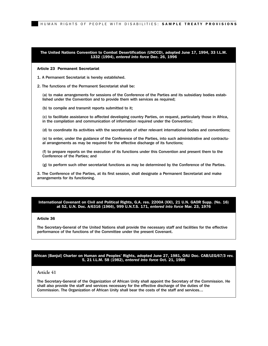## The United Nations Convention to Combat Desertification (UNCCD), adopted June 17, 1994, 33 I.L.M. 1332 (1994), *entered into force* Dec. 26, 1996

#### Article 23 Permanent Secretariat

1. A Permanent Secretariat is hereby established.

2. The functions of the Permanent Secretariat shall be:

(a) to make arrangements for sessions of the Conference of the Parties and its subsidiary bodies established under the Convention and to provide them with services as required;

(b) to compile and transmit reports submitted to it;

(c) to facilitate assistance to affected developing country Parties, on request, particularly those in Africa, in the compilation and communication of information required under the Convention;

(d) to coordinate its activities with the secretariats of other relevant international bodies and conventions;

(e) to enter, under the guidance of the Conference of the Parties, into such administrative and contractual arrangements as may be required for the effective discharge of its functions;

(f) to prepare reports on the execution of its functions under this Convention and present them to the Conference of the Parties; and

(g) to perform such other secretariat functions as may be determined by the Conference of the Parties.

3. The Conference of the Parties, at its first session, shall designate a Permanent Secretariat and make arrangements for its functioning.

## International Covenant on Civil and Political Rights, G.A. res. 2200A (XXI), 21 U.N. GAOR Supp. (No. 16) at 52, U.N. Doc. A/6316 (1966), 999 U.N.T.S. 171, *entered into force* Mar. 23, 1976

### Article 36

The Secretary-General of the United Nations shall provide the necessary staff and facilities for the effective performance of the functions of the Committee under the present Covenant.

# African [Banjul] Charter on Human and Peoples' Rights, adopted June 27, 1981, OAU Doc. CAB/LEG/67/3 rev. 5, 21 I.L.M. 58 (1982), *entered into force* Oct. 21, 1986

# **Article 41**

The Secretary-General of the Organization of African Unity shall appoint the Secretary of the Commission. He shall also provide the staff and services necessary for the effective discharge of the duties of the Commission. The Organization of African Unity shall bear the costs of the staff and services…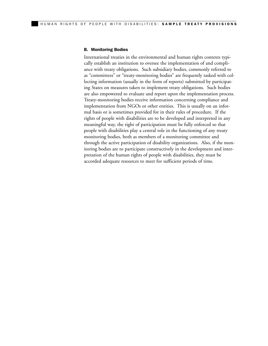## B. Monitoring Bodies

International treaties in the environmental and human rights contexts typically establish an institution to oversee the implementation of and compliance with treaty obligations. Such subsidiary bodies, commonly referred to as "committees" or "treaty-monitoring bodies" are frequently tasked with collecting information (usually in the form of reports) submitted by participating States on measures taken to implement treaty obligations. Such bodies are also empowered to evaluate and report upon the implementation process. Treaty-monitoring bodies receive information concerning compliance and implementation from NGOs or other entities. This is usually on an informal basis or is sometimes provided for in their rules of procedure. If the rights of people with disabilities are to be developed and interpreted in any meaningful way, the right of participation must be fully enforced so that people with disabilities play a central role in the functioning of any treaty monitoring bodies, both as members of a monitoring committee and through the active participation of disability organizations. Also, if the monitoring bodies are to participate constructively in the development and interpretation of the human rights of people with disabilities, they must be accorded adequate resources to meet for sufficient periods of time.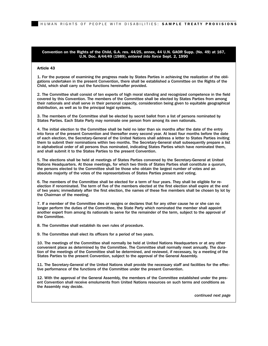### Convention on the Rights of the Child, G.A. res. 44/25, anne x, 44 U.N. GAOR Supp. (No. 49) at 167, U.N. Doc. A/44/49 (1989), *entered into force* Sept. 2, 1990

### Article 43

1. For the purpose of examining the progress made by States Parties in achieving the realization of the obligations undertaken in the present Convention, there shall be established a Committee on the Rights of the Child, which shall carry out the functions hereinafter provided.

2. The Committee shall consist of ten experts of high moral standing and recognized competence in the field covered by this Convention. The members of the Committee shall be elected by States Parties from among their nationals and shall serve in their personal capacity, consideration being given to equitable geographical distribution, as well as to the principal legal systems.

3. The members of the Committee shall be elected by secret ballot from a list of persons nominated by States Parties. Each State Party may nominate one person from among its own nationals.

4. The initial election to the Committee shall be held no later than six months after the date of the entry into force of the present Convention and thereafter every second year. At least four months before the date of each election, the Secretary-General of the United Nations shall address a letter to States Parties inviting them to submit their nominations within two months. The Secretary-General shall subsequently prepare a list in alphabetical order of all persons thus nominated, indicating States Parties which have nominated them, and shall submit it to the States Parties to the present Convention.

5. The elections shall be held at meetings of States Parties convened by the Secretary-General at United Nations Headquarters. At those meetings, for which two thirds of States Parties shall constitute a quorum, the persons elected to the Committee shall be those who obtain the largest number of votes and an absolute majority of the votes of the representatives of States Parties present and voting.

6. The members of the Committee shall be elected for a term of four years. They shall be eligible for reelection if renominated. The term of five of the members elected at the first election shall expire at the end of two years; immediately after the first election, the names of these five members shall be chosen by lot by the Chairman of the meeting.

7. If a member of the Committee dies or resigns or declares that for any other cause he or she can no longer perform the duties of the Committee, the State Party which nominated the member shall appoint another expert from among its nationals to serve for the remainder of the term, subject to the approval of the Committee.

8. The Committee shall establish its own rules of procedure.

9. The Committee shall elect its officers for a period of two years.

10. The meetings of the Committee shall normally be held at United Nations Headquarters or at any other convenient place as determined by the Committee. The Committee shall normally meet annually. The duration of the meetings of the Committee shall be determined, and reviewed, if necessary, by a meeting of the States Parties to the present Convention, subject to the approval of the General Assembly.

11. The Secretary-General of the United Nations shall provide the necessary staff and facilities for the effective performance of the functions of the Committee under the present Convention.

12. With the approval of the General Assembly, the members of the Committee established under the present Convention shall receive emoluments from United Nations resources on such terms and conditions as the Assembly may decide.

*continued next page*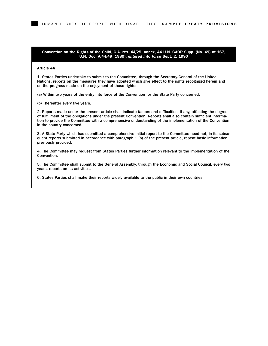### Convention on the Rights of the Child, G.A. res. 44/25, anne x, 44 U.N. GAOR Supp. (No. 49) at 167, U.N. Doc. A/44/49 (1989), *entered into force* Sept. 2, 1990

### Article 44

1. States Parties undertake to submit to the Committee, through the Secretary-General of the United Nations, reports on the measures they have adopted which give effect to the rights recognized herein and on the progress made on the enjoyment of those rights:

(a) Within two years of the entry into force of the Convention for the State Party concerned;

(b) Thereafter every five years.

2. Reports made under the present article shall indicate factors and difficulties, if any, affecting the degree of fulfillment of the obligations under the present Convention. Reports shall also contain sufficient information to provide the Committee with a comprehensive understanding of the implementation of the Convention in the country concerned.

3. A State Party which has submitted a comprehensive initial report to the Committee need not, in its subsequent reports submitted in accordance with paragraph 1 (b) of the present article, repeat basic information previously provided.

4. The Committee may request from States Parties further information relevant to the implementation of the Convention.

5. The Committee shall submit to the General Assembly, through the Economic and Social Council, every two years, reports on its activities.

6. States Parties shall make their reports widely available to the public in their own countries.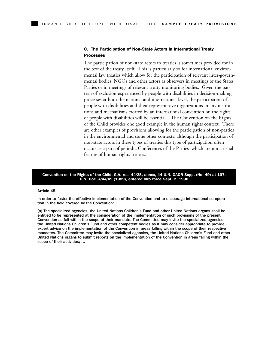# C. The Participation of Non-State Actors in International Treaty Processes

The participation of non-state actors to treaties is sometimes provided for in the text of the treaty itself. This is particularly so for international environmental law treaties which allow for the participation of relevant inter-governmental bodies, NGOs and other actors as observers in meetings of the States Parties or in meetings of relevant treaty monitoring bodies. Given the pattern of exclusion experienced by people with disabilities in decision-making processes at both the national and international level, the participation of people with disabilities and their representative organizations in any institutions and mechanisms created by an international convention on the rights of people with disabilities will be essential. The Convention on the Rights of the Child provides one good example in the human rights context. There are other examples of provisions allowing for the participation of non-parties in the environmental and some other contexts, although the participation of non-state actors in these types of treaties this type of participation often occurs as a part of periodic Conferences of the Parties which are not a usual feature of human rights treaties.

## Convention on the Rights of the Child, G.A. res. 44/25, anne x, 44 U.N. GAOR Supp. (No. 49) at 167, U.N. Doc. A/44/49 (1989), *entered into force* Sept. 2, 1990

## Article 45

In order to foster the effective implementation of the Convention and to encourage international co-operation in the field covered by the Convention:

(a) The specialized agencies, the United Nations Children's Fund and other United Nations organs shall be entitled to be represented at the consideration of the implementation of such provisions of the present Convention as fall within the scope of their mandate. The Committee may invite the specialized agencies, the United Nations Children's Fund and other competent bodies as it may consider appropriate to provide expert advice on the implementation of the Convention in areas falling within the scope of their respective mandates. The Committee may invite the specialized agencies, the United Nations Children's Fund and other United Nations organs to submit reports on the implementation of the Convention in areas falling within the scope of their activities; …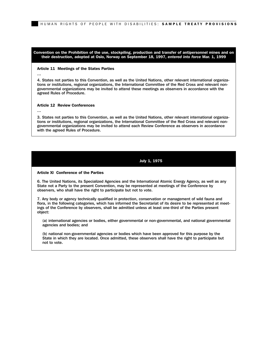Convention on the Prohibition of the use, stockpiling, production and transfer of antipersonnel mines and on their destruction, adopted at Oslo, Norway on September 18, 1997, *entered into force* Mar. 1, 1999

#### Article 11 Meetings of the States Parties

…

4. States not parties to this Convention, as well as the United Nations, other relevant international organizations or institutions, regional organizations, the International Committee of the Red Cross and relevant nongovernmental organizations may be invited to attend these meetings as observers in accordance with the agreed Rules of Procedure.

# Article 12 Review Conferences

…

3. States not parties to this Convention, as well as the United Nations, other relevant international organizations or institutions, regional organizations, the International Committee of the Red Cross and relevant nongovernmental organizations may be invited to attend each Review Conference as observers in accordance with the agreed Rules of Procedure.

July 1, 1975

### Article XI Conference of the Parties

6. The United Nations, its Specialized Agencies and the International Atomic Energy Agency, as well as any State not a Party to the present Convention, may be represented at meetings of the Conference by observers, who shall have the right to participate but not to vote.

7. Any body or agency technically qualified in protection, conservation or management of wild fauna and flora, in the following categories, which has informed the Secretariat of its desire to be represented at meetings of the Conference by observers, shall be admitted unless at least one-third of the Parties present object:

(a) international agencies or bodies, either governmental or non-governmental, and national governmental agencies and bodies; and

(b) national non-governmental agencies or bodies which have been approved for this purpose by the State in which they are located. Once admitted, these observers shall have the right to participate but not to vote.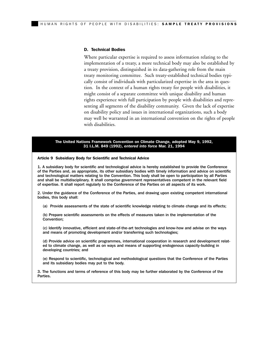## D. Technical Bodies

Where particular expertise is required to assess information relating to the implementation of a treaty, a more technical body may also be established by a treaty provision, distinguished in its data-gathering role from the main treaty monitoring committee. Such treaty-established technical bodies typically consist of individuals with particularized expertise in the area in question. In the context of a human rights treaty for people with disabilities, it might consist of a separate committee with unique disability and human rights experience with full participation by people with disabilities and representing all segments of the disability community. Given the lack of expertise on disability policy and issues in international organizations, such a body may well be warranted in an international convention on the rights of people with disabilities.

# The United Nations Framework Convention on Climate Change, adopted May 9, 1992, 31 I.L.M. 849 (1992), *entered into force* Mar. 21, 1994

Article 9 Subsidiary Body for Scientific and Technical Advice

1. A subsidiary body for scientific and technological advice is hereby established to provide the Conference of the Parties and, as appropriate, its other subsidiary bodies with timely information and advice on scientific and technological matters relating to the Convention. This body shall be open to participation by all Parties and shall be multidisciplinary. It shall comprise government representatives competent in the relevant field of expertise. It shall report regularly to the Conference of the Parties on all aspects of its work.

2. Under the guidance of the Conference of the Parties, and drawing upon existing competent international bodies, this body shall:

(a) Provide assessments of the state of scientific knowledge relating to climate change and its effects;

(b) Prepare scientific assessments on the effects of measures taken in the implementation of the Convention;

(c) Identify innovative, efficient and state-of-the-art technologies and know-how and advise on the ways and means of promoting development and/or transferring such technologies;

(d) Provide advice on scientific programmes, international cooperation in research and development related to climate change, as well as on ways and means of supporting endogenous capacity-building in developing countries; and

(e) Respond to scientific, technological and methodological questions that the Conference of the Parties and its subsidiary bodies may put to the body.

3. The functions and terms of reference of this body may be further elaborated by the Conference of the Parties.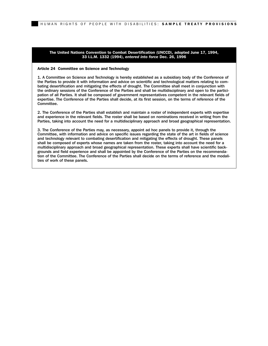## The United Nations Convention to Combat Desertification (UNCCD), adopted June 17, 1994, 33 I.L.M. 1332 (1994), *entered into force* Dec. 26, 1996

#### Article 24 Committee on Science and Technology

1. A Committee on Science and Technology is hereby established as a subsidiary body of the Conference of the Parties to provide it with information and advice on scientific and technological matters relating to combating desertification and mitigating the effects of drought. The Committee shall meet in conjunction with the ordinary sessions of the Conference of the Parties and shall be multidisciplinary and open to the participation of all Parties. It shall be composed of government representatives competent in the relevant fields of expertise. The Conference of the Parties shall decide, at its first session, on the terms of reference of the Committee.

2. The Conference of the Parties shall establish and maintain a roster of independent experts with expertise and experience in the relevant fields. The roster shall be based on nominations received in writing from the Parties, taking into account the need for a multidisciplinary approach and broad geographical representation.

3. The Conference of the Parties may, as necessary, appoint ad hoc panels to provide it, through the Committee, with information and advice on specific issues regarding the state of the art in fields of science and technology relevant to combating desertification and mitigating the effects of drought. These panels shall be composed of experts whose names are taken from the roster, taking into account the need for a multidisciplinary approach and broad geographical representation. These experts shall have scientific backgrounds and field experience and shall be appointed by the Conference of the Parties on the recommendation of the Committee. The Conference of the Parties shall decide on the terms of reference and the modalities of work of these panels.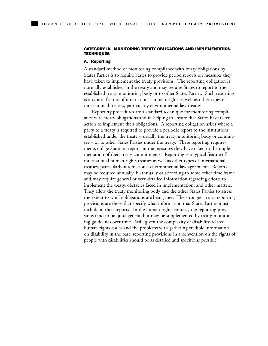# CATEGORY IV. MONITORING TREATY OBLIGATIONS AND IMPLEMENTATION **TECHNIQUES**

## A. Reporting

A standard method of monitoring compliance with treaty obligations by States Parties is to require States to provide period reports on measures they have taken to implement the treaty provisions. The reporting obligation is normally established in the treaty and may require States to report to the established treaty monitoring body or to other States Parties. Such reporting is a typical feature of international human rights as well as other types of international treaties, particularly environmental law treaties.

Reporting procedures are a standard technique for monitoring compliance with treaty obligations and in helping to ensure that States have taken action to implement their obligations. A reporting obligation arises where a party to a treaty is required to provide a periodic report to the institutions established under the treaty – usually the treaty monitoring body or committee – or to other States Parties under the treaty. These reporting requirements oblige States to report on the measures they have taken in the implementation of their treaty commitments. Reporting is a typical feature of international human rights treaties as well as other types of international treaties, particularly international environmental law agreements. Reports may be required annually, bi-annually or according to some other time frame and may require general or very detailed information regarding efforts to implement the treaty, obstacles faced in implementation, and other matters. They allow the treaty monitoring body and the other States Parties to assess the extent to which obligations are being met. The strongest treaty reporting provisions are those that specify what information that States Parties must include in their reports. In the human rights context, the reporting provisions tend to be quite general but may be supplemented by treaty-monitoring guidelines over time. Still, given the complexity of disability-related human rights issues and the problems with gathering credible information on disability in the past, reporting provisions in a convention on the rights of people with disabilities should be as detailed and specific as possible.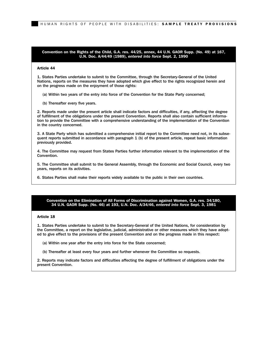### Convention on the Rights of the Child, G.A. res. 44/25, anne x, 44 U.N. GAOR Supp. (No. 49) at 167, U.N. Doc. A/44/49 (1989), *entered into force* Sept. 2, 1990

### Article 44

1. States Parties undertake to submit to the Committee, through the Secretary-General of the United Nations, reports on the measures they have adopted which give effect to the rights recognized herein and on the progress made on the enjoyment of those rights:

- (a) Within two years of the entry into force of the Convention for the State Party concerned;
- (b) Thereafter every five years.

2. Reports made under the present article shall indicate factors and difficulties, if any, affecting the degree of fulfillment of the obligations under the present Convention. Reports shall also contain sufficient information to provide the Committee with a comprehensive understanding of the implementation of the Convention in the country concerned.

3. A State Party which has submitted a comprehensive initial report to the Committee need not, in its subsequent reports submitted in accordance with paragraph 1 (b) of the present article, repeat basic information previously provided.

4. The Committee may request from States Parties further information relevant to the implementation of the Convention.

5. The Committee shall submit to the General Assembly, through the Economic and Social Council, every two years, reports on its activities.

6. States Parties shall make their reports widely available to the public in their own countries.

## Convention on the Elimination of All Forms of Discrimination against Women, G.A. res. 34/180, 34 U.N. GAOR Supp. (No. 46) at 193, U.N. Doc. A/34/46, *entered into force* Sept. 3, 1981

### Article 18

1. States Parties undertake to submit to the Secretary-General of the United Nations, for consideration by the Committee, a report on the legislative, judicial, administrative or other measures which they have adopted to give effect to the provisions of the present Convention and on the progress made in this respect:

- (a) Within one year after the entry into force for the State concerned;
- (b) Thereafter at least every four years and further whenever the Committee so requests.

2. Reports may indicate factors and difficulties affecting the degree of fulfillment of obligations under the present Convention.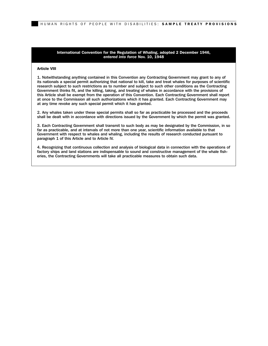## International Convention for the Regulation of Whaling, adopted 2 December 1946, *entered into force* Nov. 10, 1948

# Article VIII

1. Notwithstanding anything contained in this Convention any Contracting Government may grant to any of its nationals a special permit authorizing that national to kill, take and treat whales for purposes of scientific research subject to such restrictions as to number and subject to such other conditions as the Contracting Government thinks fit, and the killing, taking, and treating of whales in accordance with the provisions of this Article shall be exempt from the operation of this Convention. Each Contracting Government shall report at once to the Commission all such authorizations which it has granted. Each Contracting Government may at any time revoke any such special permit which it has granted.

2. Any whales taken under these special permits shall so far as practicable be processed and the proceeds shall be dealt with in accordance with directions issued by the Government by which the permit was granted.

3. Each Contracting Government shall transmit to such body as may be designated by the Commission, in so far as practicable, and at intervals of not more than one year, scientific information available to that Government with respect to whales and whaling, including the results of research conducted pursuant to paragraph 1 of this Article and to Article IV.

4. Recognizing that continuous collection and analysis of biological data in connection with the operations of factory ships and land stations are indispensable to sound and constructive management of the whale fisheries, the Contracting Governments will take all practicable measures to obtain such data.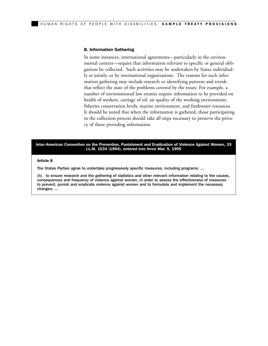### B. Information Gathering

In some instances, international agreements—particularly in the environmental context—require that information relevant to specific or general obligations be collected. Such activities may be undertaken by States individually or jointly, or by international organizations. The reasons for such information gathering may include research or identifying patterns and trends that reflect the state of the problems covered by the treaty. For example, a number of environmental law treaties require information to be provided on health of workers, carriage of oil, air quality of the working environment, fisheries conservation levels, marine environment, and freshwater resources. It should be noted that when the information is gathered, those participating in the collection process should take all steps necessary to preserve the privacy of those providing information.

## Inter-American Convention on the Prevention, Punishment and Eradication of Violence Against Women, 33 I.L.M. 1534 (1994), *entered into force* Mar. 5, 1995

# Article 8

The States Parties agree to undertake progressively specific measures, including programs: …

(h). to ensure research and the gathering of statistics and other relevant information relating to the causes, consequences and frequency of violence against women, in order to assess the effectiveness of measures to prevent, punish and eradicate violence against women and to formulate and implement the necessary changes; …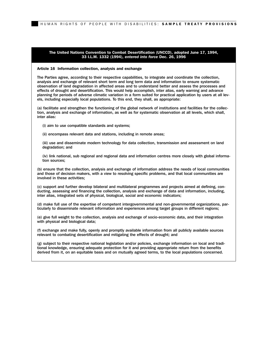## The United Nations Convention to Combat Desertification (UNCCD), adopted June 17, 1994, 33 I.L.M. 1332 (1994), *entered into force* Dec. 26, 1996

#### Article 16 Information collection, analysis and exchange

The Parties agree, according to their respective capabilities, to integrate and coordinate the collection, analysis and exchange of relevant short term and long term data and information to ensure systematic observation of land degradation in affected areas and to understand better and assess the processes and effects of drought and desertification. This would help accomplish, inter alias, early warning and advance planning for periods of adverse climatic variation in a form suited for practical application by users at all levels, including especially local populations. To this end, they shall, as appropriate:

(a) facilitate and strengthen the functioning of the global network of institutions and facilities for the collection, analysis and exchange of information, as well as for systematic observation at all levels, which shall, inter alias:

- (i) aim to use compatible standards and systems;
- (ii) encompass relevant data and stations, including in remote areas;

(iii) use and disseminate modern technology for data collection, transmission and assessment on land degradation; and

(iv) link national, sub regional and regional data and information centres more closely with global information sources;

(b) ensure that the collection, analysis and exchange of information address the needs of local communities and those of decision makers, with a view to resolving specific problems, and that local communities are involved in these activities;

(c) support and further develop bilateral and multilateral programmes and projects aimed at defining, conducting, assessing and financing the collection, analysis and exchange of data and information, including, inter alias, integrated sets of physical, biological, social and economic indicators;

(d) make full use of the expertise of competent intergovernmental and non-governmental organizations, particularly to disseminate relevant information and experiences among target groups in different regions;

(e) give full weight to the collection, analysis and exchange of socio-economic data, and their integration with physical and biological data;

(f) exchange and make fully, openly and promptly available information from all publicly available sources relevant to combating desertification and mitigating the effects of drought; and

(g) subject to their respective national legislation and/or policies, exchange information on local and traditional knowledge, ensuring adequate protection for it and providing appropriate return from the benefits derived from it, on an equitable basis and on mutually agreed terms, to the local populations concerned.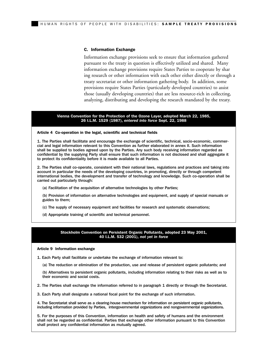## C. Information Exchange

Information exchange provisions seek to ensure that information gathered pursuant to the treaty in question is effectively utilized and shared. Many information exchange provisions require States Parties to cooperate by shar ing research or other information with each other either directly or through a treaty secretariat or other information gathering body. In addition, some provisions require States Parties (particularly developed countries) to assist those (usually developing countries) that are less resource-rich in collecting, analyzing, distributing and developing the research mandated by the treaty.

Vienna Convention for the Protection of the Ozone Layer, adopted March 22, 1985, 26 I.L.M. 1529 (1987), *entered into force* Sept. 22, 1988

#### Article 4 Co-operation in the legal, scientific and technical fields

1. The Parties shall facilitate and encourage the exchange of scientific, technical, socio-economic, commercial and legal information relevant to this Convention as further elaborated in annex II. Such information shall be supplied to bodies agreed upon by the Parties. Any such body receiving information regarded as confidential by the supplying Party shall ensure that such information is not disclosed and shall aggregate it to protect its confidentiality before it is made available to all Parties.

2. The Parties shall co-operate, consistent with their national laws, regulations and practices and taking into account in particular the needs of the developing countries, in promoting, directly or through competent international bodies, the development and transfer of technology and knowledge. Such co-operation shall be carried out particularly through:

(a) Facilitation of the acquisition of alternative technologies by other Parties;

(b) Provision of information on alternative technologies and equipment, and supply of special manuals or guides to them;

(c) The supply of necessary equipment and facilities for research and systematic observations;

(d) Appropriate training of scientific and technical personnel.

### Stockholm Convention on Persistent Organic P ollutants, adopted 23 May 2001, 40 I.L.M. 532 (2001), *not yet in force*

#### Article 9 Information exchange

1. Each Party shall facilitate or undertake the exchange of information relevant to:

- (a) The reduction or elimination of the production, use and release of persistent organic pollutants; and
- (b) Alternatives to persistent organic pollutants, including information relating to their risks as well as to their economic and social costs.
- 2. The Parties shall exchange the information referred to in paragraph 1 directly or through the Secretariat.
- 3. Each Party shall designate a national focal point for the exchange of such information.

4. The Secretariat shall serve as a clearing-house mechanism for information on persistent organic pollutants, including information provided by Parties, intergovernmental organizations and nongovernmental organizations.

5. For the purposes of this Convention, information on health and safety of humans and the environment shall not be regarded as confidential. Parties that exchange other information pursuant to this Convention shall protect any confidential information as mutually agreed.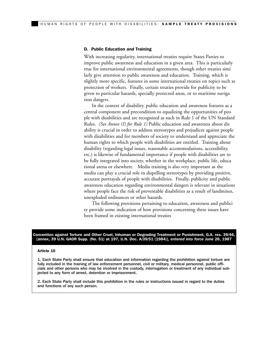## D. Public Education and Training

With increasing regularity, international treaties require States Parties to improve public awareness and education in a given area. This is particularly true for international environmental agreements, though other treaties simi larly give attention to public awareness and education. Training, which is slightly more specific, features in some international treaties on topics such as protection of workers. Finally, certain treaties provide for publicity to be given to particular hazards, specially protected areas, or to maritime naviga tion dangers.

In the context of disability, public education and awareness features as a central component and precondition to equalizing the opportunities of peo ple with disabilities and are recognized as such in Rule 1 of the UN Standard Rules. *(See Annex (I) for Rule 1)* Public education and awareness about dis ability is crucial in order to address stereotypes and prejudices against people with disabilities and for members of society to understand and appreciate the human rights to which people with disabilities are entitled. Training about disability (regarding legal issues, reasonable accommodations, accessibility, etc.) is likewise of fundamental importance if people with disabilities are to be fully integrated into society, whether in the workplace, public life, educa tional arena or elsewhere. Media training is also very important as the media can play a crucial role in dispelling stereotypes by providing positive, accurate portrayals of people with disabilities. Finally, publicity and public awareness education regarding environmental dangers is relevant in situations where people face the risk of preventable disabilities as a result of landmines, unexploded ordinances or other hazards.

The following provisions pertaining to education, awareness and publici ty provide some indication of how provisions concerning these issues have been framed in existing international treaties

Convention against Torture and Other Cruel, Inhuman or Degrading Treatment or Punishment, G.A. res. 39/46, [annex, 39 U.N. GAOR Supp. (No. 51) at 197, U.N. Doc. A/39/51 (1984)], *entered into force* June 26, 1987

#### Article 10

1. Each State Party shall ensure that education and information regarding the prohibition against torture are fully included in the training of law enforcement personnel, civil or military, medical personnel, public officials and other persons who may be involved in the custody, interrogation or treatment of any individual subjected to any form of arrest, detention or imprisonment.

2. Each State Party shall include this prohibition in the rules or instructions issued in regard to the duties and functions of any such person.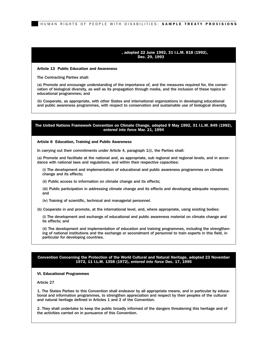## Dec. 29, 1993 , adopted 22 June 1992, 31 I.L.M. 818 (1992),

#### Article 13 Public Education and Awareness

The Contracting Parties shall:

(a) Promote and encourage understanding of the importance of, and the measures required for, the conservation of biological diversity, as well as its propagation through media, and the inclusion of these topics in educational programmes; and

(b) Cooperate, as appropriate, with other States and international organizations in developing educational and public awareness programmes, with respect to conservation and sustainable use of biological diversity.

## The United Nations Framework Convention on Climate Change, adopted 9 May 1992, 31 I.L.M. 849 (1992), *entered into force* Mar. 21, 1994

Article 6 Education, Training and Public Awareness

In carrying out their commitments under Article 4, paragraph 1(i), the Parties shall:

(a) Promote and facilitate at the national and, as appropriate, sub regional and regional levels, and in accordance with national laws and regulations, and within their respective capacities:

(i) The development and implementation of educational and public awareness programmes on climate change and its effects;

(ii) Public access to information on climate change and its effects;

(iii) Public participation in addressing climate change and its effects and developing adequate responses; and

(iv) Training of scientific, technical and managerial personnel.

(b) Cooperate in and promote, at the international level, and, where appropriate, using existing bodies:

(i) The development and exchange of educational and public awareness material on climate change and its effects; and

(ii) The development and implementation of education and training programmes, including the strengthening of national institutions and the exchange or secondment of personnel to train experts in this field, in particular for developing countries.

## Convention Concerning the Protection of the World Cultural and Natural Heritage, adopted 23 November 1972, 11 I.L.M. 1358 (1972), *entered into force* Dec. 17, 1995

VI. Educational Programmes

Article 27

1. The States Parties to this Convention shall endeavor by all appropriate means, and in particular by educational and information programmes, to strengthen appreciation and respect by their peoples of the cultural and natural heritage defined in Articles 1 and 2 of the Convention.

2. They shall undertake to keep the public broadly informed of the dangers threatening this heritage and of the activities carried on in pursuance of this Convention.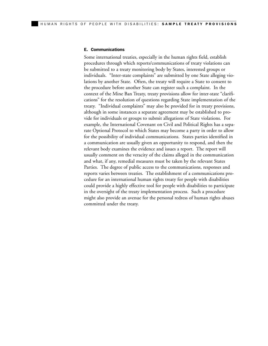## E. Communications

Some international treaties, especially in the human rights field, establish procedures through which reports/communications of treaty violations can be submitted to a treaty monitoring body by States, interested groups or individuals. "Inter-state complaints" are submitted by one State alleging violations by another State. Often, the treaty will require a State to consent to the procedure before another State can register such a complaint. In the context of the Mine Ban Treaty, treaty provisions allow for inter-state "clarifications" for the resolution of questions regarding State implementation of the treaty. "Individual complaints" may also be provided for in treaty provisions, although in some instances a separate agreement may be established to provide for individuals or groups to submit allegations of State violations. For example, the International Covenant on Civil and Political Rights has a separate Optional Protocol to which States may become a party in order to allow for the possibility of individual communications. States parties identified in a communication are usually given an opportunity to respond, and then the relevant body examines the evidence and issues a report. The report will usually comment on the veracity of the claims alleged in the communication and what, if any, remedial measures must be taken by the relevant States Parties. The degree of public access to the communications, responses and reports varies between treaties. The establishment of a communications procedure for an international human rights treaty for people with disabilities could provide a highly effective tool for people with disabilities to participate in the oversight of the treaty implementation process. Such a procedure might also provide an avenue for the personal redress of human rights abuses committed under the treaty.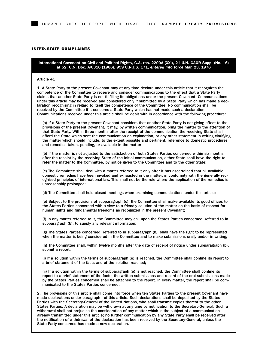# INTER-STATE COMPLAINTS

International Covenant on Civil and Political Rights, G.A. res. 2200A (XXI), 21 U.N. GAOR Supp. (No. 16) at 52, U.N. Doc. A/6316 (1966), 999 U.N.T.S. 171, *entered into force* Mar. 23, 1976

### Article 41

1. A State Party to the present Covenant may at any time declare under this article that it recognizes the competence of the Committee to receive and consider communications to the effect that a State Party claims that another State Party is not fulfilling its obligations under the present Covenant. Communications under this article may be received and considered only if submitted by a State Party which has made a declaration recognizing in regard to itself the competence of the Committee. No communication shall be received by the Committee if it concerns a State Party which has not made such a declaration. Communications received under this article shall be dealt with in accordance with the following procedure:

(a) If a State Party to the present Covenant considers that another State Party is not giving effect to the provisions of the present Covenant, it may, by written communication, bring the matter to the attention of that State Party. Within three months after the receipt of the communication the receiving State shall afford the State which sent the communication an explanation, or any other statement in writing clarifying the matter which should include, to the extent possible and pertinent, reference to domestic procedures and remedies taken, pending, or available in the matter;

(b) If the matter is not adjusted to the satisfaction of both States Parties concerned within six months after the receipt by the receiving State of the initial communication, either State shall have the right to refer the matter to the Committee, by notice given to the Committee and to the other State;

(c) The Committee shall deal with a matter referred to it only after it has ascertained that all available domestic remedies have been invoked and exhausted in the matter, in conformity with the generally recognized principles of international law. This shall not be the rule where the application of the remedies is unreasonably prolonged;

(d) The Committee shall hold closed meetings when examining communications under this article;

(e) Subject to the provisions of subparagraph (c), the Committee shall make available its good offices to the States Parties concerned with a view to a friendly solution of the matter on the basis of respect for human rights and fundamental freedoms as recognized in the present Covenant;

(f) In any matter referred to it, the Committee may call upon the States Parties concerned, referred to in subparagraph (b), to supply any relevant information;

(g) The States Parties concerned, referred to in subparagraph (b), shall have the right to be represented when the matter is being considered in the Committee and to make submissions orally and/or in writing;

(h) The Committee shall, within twelve months after the date of receipt of notice under subparagraph (b), submit a report:

(i) If a solution within the terms of subparagraph (e) is reached, the Committee shall confine its report to a brief statement of the facts and of the solution reached;

(ii) If a solution within the terms of subparagraph (e) is not reached, the Committee shall confine its report to a brief statement of the facts; the written submissions and record of the oral submissions made by the States Parties concerned shall be attached to the report. In every matter, the report shall be communicated to the States Parties concerned.

2. The provisions of this article shall come into force when ten States Parties to the present Covenant have made declarations under paragraph I of this article. Such declarations shall be deposited by the States Parties with the Secretary-General of the United Nations, who shall transmit copies thereof to the other States Parties. A declaration may be withdrawn at any time by notification to the Secretary-General. Such a withdrawal shall not prejudice the consideration of any matter which is the subject of a communication already transmitted under this article; no further communication by any State Party shall be received after the notification of withdrawal of the declaration has been received by the Secretary-General, unless the State Party concerned has made a new declaration.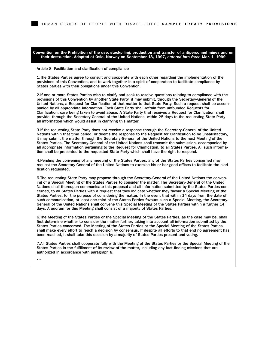Convention on the Prohibition of the use, stockpiling, production and transfer of antipersonnel mines and on their destruction. Adopted at Oslo, Norway on September 18, 1997, *entered into force* Mar. 1, 1999

Article 8 Facilitation and clarification of compliance

1.The States Parties agree to consult and cooperate with each other regarding the implementation of the provisions of this Convention, and to work together in a spirit of cooperation to facilitate compliance by States parties with their obligations under this Convention.

2.If one or more States Parties wish to clarify and seek to resolve questions relating to compliance with the provisions of this Convention by another State Party, it may submit, through the Secretary-General of the United Nations, a Request for Clarification of that matter to that State Party. Such a request shall be accompanied by all appropriate information. Each State Party shall refrain from unfounded Requests for Clarification, care being taken to avoid abuse. A State Party that receives a Request for Clarification shall provide, through the Secretary-General of the United Nations, within 28 days to the requesting State Party all information which would assist in clarifying this matter.

3.If the requesting State Party does not receive a response through the Secretary-General of the United Nations within that time period, or deems the response to the Request for Clarification to be unsatisfactory, it may submit the matter through the Secretary-General of the United Nations to the next Meeting of the States Parties. The Secretary-General of the United Nations shall transmit the submission, accompanied by all appropriate information pertaining to the Request for Clarification, to all States Parties. All such information shall be presented to the requested State Party which shall have the right to respond.

4.Pending the convening of any meeting of the States Parties, any of the States Parties concerned may request the Secretary-General of the United Nations to exercise his or her good offices to facilitate the clarification requested.

5.The requesting State Party may propose through the Secretary-General of the United Nations the convening of a Special Meeting of the States Parties to consider the matter. The Secretary-General of the United Nations shall thereupon communicate this proposal and all information submitted by the States Parties concerned, to all States Parties with a request that they indicate whether they favour a Special Meeting of the States Parties, for the purpose of considering the matter. In the event that within 14 days from the date of such communication, at least one-third of the States Parties favours such a Special Meeting, the Secretary-General of the United Nations shall convene this Special Meeting of the States Parties within a further 14 days. A quorum for this Meeting shall consist of a majority of States Parties.

6.The Meeting of the States Parties or the Special Meeting of the States Parties, as the case may be, shall first determine whether to consider the matter further, taking into account all information submitted by the States Parties concerned. The Meeting of the States Parties or the Special Meeting of the States Parties shall make every effort to reach a decision by consensus. If despite all efforts to that end no agreement has been reached, it shall take this decision by a majority of States Parties present and voting.

7.All States Parties shall cooperate fully with the Meeting of the States Parties or the Special Meeting of the States Parties in the fulfillment of its review of the matter, including any fact-finding missions that are authorized in accordance with paragraph 8.

…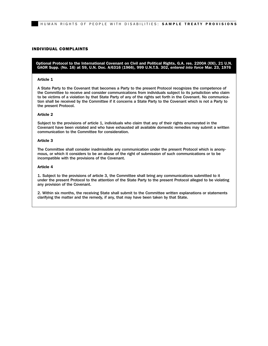# INDIVIDUAL COMPLAINTS

Optional Protocol to the International Covenant on Civil and Political Rights, G.A. res. 2200A (XXI), 21 U.N. GAOR Supp. (No. 16) at 59, U.N. Doc. A/6316 (1966), 999 U.N.T.S. 302, *entered into force* Mar. 23, 1976

### Article 1

A State Party to the Covenant that becomes a Party to the present Protocol recognizes the competence of the Committee to receive and consider communications from individuals subject to its jurisdiction who claim to be victims of a violation by that State Party of any of the rights set forth in the Covenant. No communication shall be received by the Committee if it concerns a State Party to the Covenant which is not a Party to the present Protocol.

### Article 2

Subject to the provisions of article 1, individuals who claim that any of their rights enumerated in the Covenant have been violated and who have exhausted all available domestic remedies may submit a written communication to the Committee for consideration.

#### Article 3

The Committee shall consider inadmissible any communication under the present Protocol which is anonymous, or which it considers to be an abuse of the right of submission of such communications or to be incompatible with the provisions of the Covenant.

### Article 4

1. Subject to the provisions of article 3, the Committee shall bring any communications submitted to it under the present Protocol to the attention of the State Party to the present Protocol alleged to be violating any provision of the Covenant.

2. Within six months, the receiving State shall submit to the Committee written explanations or statements clarifying the matter and the remedy, if any, that may have been taken by that State.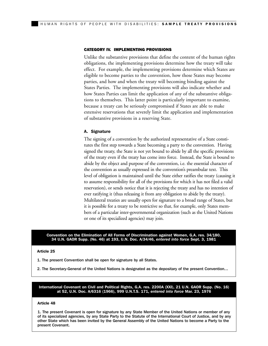### CATEGORY IV. IMPLEMENTING PROVISIONS

Unlike the substantive provisions that define the content of the human rights obligations, the implementing provisions determine how the treaty will take effect. For example, the implementing provisions determine which States are eligible to become parties to the convention, how those States may become parties, and how and when the treaty will becoming binding against the States Parties. The implementing provisions will also indicate whether and how States Parties can limit the application of any of the substantive obligations to themselves. This latter point is particularly important to examine, because a treaty can be seriously compromised if States are able to make extensive reservations that severely limit the application and implementation of substantive provisions in a reserving State.

## A. Signature

The signing of a convention by the authorized representative of a State constitutes the first step towards a State becoming a party to the convention. Having signed the treaty, the State is not yet bound to abide by all the specific provisions of the treaty even if the treaty has come into force. Instead, the State is bound to abide by the object and purpose of the convention, i.e. the essential character of the convention as usually expressed in the convention's preambular text. This level of obligation is maintained until the State either ratifies the treaty (causing it to assume responsibility for all of the provisions for which it has not filed a valid reservation), or sends notice that it is rejecting the treaty and has no intention of ever ratifying it (thus releasing it from any obligation to abide by the treaty). Multilateral treaties are usually open for signature to a broad range of States, but it is possible for a treaty to be restrictive so that, for example, only States members of a particular inter-governmental organization (such as the United Nations or one of its specialized agencies) may join.

Convention on the Elimination of All Forms of Discrimination against Women, G.A. res. 34/180, 34 U.N. GAOR Supp. (No. 46) at 193, U.N. Doc. A/34/46, *entered into force* Sept. 3, 1981

### Article 25

1. The present Convention shall be open for signature by all States.

2. The Secretary-General of the United Nations is designated as the depositary of the present Convention…

International Covenant on Civil and Political Rights, G.A. res. 2200A (XXI), 21 U.N. GAOR Supp. (No. 16) at 52, U.N. Doc. A/6316 (1966), 999 U.N.T.S. 171, *entered into force* Mar. 23, 1976

## Article 48

1. The present Covenant is open for signature by any State Member of the United Nations or member of any of its specialized agencies, by any State Party to the Statute of the International Court of Justice, and by any other State which has been invited by the General Assembly of the United Nations to become a Party to the present Covenant.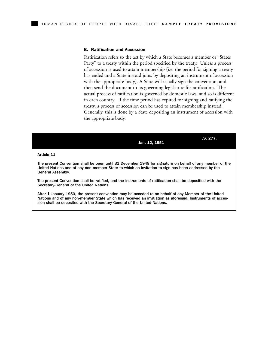## B. Ratification and Accession

Ratification refers to the act by which a State becomes a member or "States Party" to a treaty within the period specified by the treaty. Unless a process of accession is used to attain membership (i.e. the period for signing a treaty has ended and a State instead joins by depositing an instrument of accession with the appropriate body). A State will usually sign the convention, and then send the document to its governing legislature for ratification. The actual process of ratification is governed by domestic laws, and so is different in each country. If the time period has expired for signing and ratifying the treaty, a process of accession can be used to attain membership instead. Generally, this is done by a State depositing an instrument of accession with the appropriate body.

| Jan. 12, 1951                                                                                                                                                                                                                               | .S. 277. |
|---------------------------------------------------------------------------------------------------------------------------------------------------------------------------------------------------------------------------------------------|----------|
| Article 11                                                                                                                                                                                                                                  |          |
| The present Convention shall be open until 31 December 1949 for signature on behalf of any member of the<br>United Nations and of any non-member State to which an invitation to sign has been addressed by the<br><b>General Assembly.</b> |          |
| The present Convention shall be ratified, and the instruments of ratification shall be depositied with the<br>Secretary-General of the United Nations.                                                                                      |          |
| After 1 January 1950, the present convention may be acceded to on behalf of any Member of the United<br>Nations and of any non-member State which has received an invitiation as aforesaid. Instruments of acces-                           |          |

sion shall be deposited with the Secretary-General of the United Nations.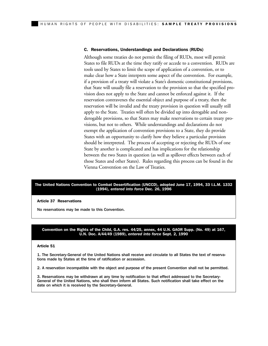### C. Reservations, Understandings and Declarations (RUDs)

Although some treaties do not permit the filing of RUDs, most will permit States to file RUDs at the time they ratify or accede to a convention. RUDs are tools used by States to limit the scope of application of a convention, or to make clear how a State interprets some aspect of the convention. For example, if a provision of a treaty will violate a State's domestic constitutional provisions, that State will usually file a reservation to the provision so that the specified provision does not apply to the State and cannot be enforced against it. If the reservation contravenes the essential object and purpose of a treaty, then the reservation will be invalid and the treaty provision in question will usually still apply to the State. Treaties will often be divided up into derogable and nonderogable provisions, so that States may make reservations to certain treaty provisions, but not to others. While understandings and declarations do not exempt the application of convention provisions to a State, they do provide States with an opportunity to clarify how they believe a particular provision should be interpreted. The process of accepting or rejecting the RUDs of one State by another is complicated and has implications for the relationship between the two States in question (as well as spillover effects between each of those States and other States). Rules regarding this process can be found in the Vienna Convention on the Law of Treaties.

# The United Nations Convention to Combat Desertification (UNCCD), adopted June 17, 1994, 33 I.L.M. 1332 (1994), *entered into force* Dec. 26, 1996

## Article 37 Reservations

No reservations may be made to this Convention.

## Convention on the Rights of the Child, G.A. res. 44/25, anne x, 44 U.N. GAOR Supp. (No. 49) at 167, U.N. Doc. A/44/49 (1989), *entered into force* Sept. 2, 1990

### Article 51

1. The Secretary-General of the United Nations shall receive and circulate to all States the text of reservations made by States at the time of ratification or accession.

2. A reservation incompatible with the object and purpose of the present Convention shall not be permitted.

3. Reservations may be withdrawn at any time by notification to that effect addressed to the Secretary-General of the United Nations, who shall then inform all States. Such notification shall take effect on the date on which it is received by the Secretary-General.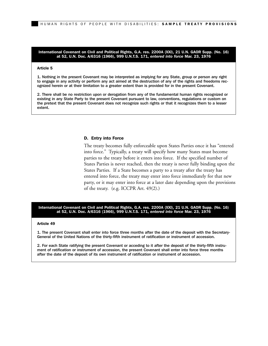#### International Covenant on Civil and Political Rights, G.A. res. 2200A (XXI), 21 U.N. GAOR Supp. (No. 16) at 52, U.N. Doc. A/6316 (1966), 999 U.N.T.S. 171, *entered into force* Mar. 23, 1976

#### Article 5

1. Nothing in the present Covenant may be interpreted as implying for any State, group or person any right to engage in any activity or perform any act aimed at the destruction of any of the rights and freedoms recognized herein or at their limitation to a greater extent than is provided for in the present Covenant.

2. There shall be no restriction upon or derogation from any of the fundamental human rights recognized or existing in any State Party to the present Covenant pursuant to law, conventions, regulations or custom on the pretext that the present Covenant does not recognize such rights or that it recognizes them to a lesser extent.

#### D. Entry into Force

The treaty becomes fully enforceable upon States Parties once it has "entered into force." Typically, a treaty will specify how many States must become parties to the treaty before it enters into force. If the specified number of States Parties is never reached, then the treaty is never fully binding upon the States Parties. If a State becomes a party to a treaty after the treaty has entered into force, the treaty may enter into force immediately for that new party, or it may enter into force at a later date depending upon the provisions of the treaty. (e.g. ICCPR Art. 49(2).)

# International Covenant on Civil and Political Rights, G.A. res. 2200A (XXI), 21 U.N. GAOR Supp. (No. 16) at 52, U.N. Doc. A/6316 (1966), 999 U.N.T.S. 171, *entered into force* Mar. 23, 1976

#### Article 49

1. The present Covenant shall enter into force three months after the date of the deposit with the Secretary-General of the United Nations of the thirty-fifth instrument of ratification or instrument of accession.

2. For each State ratifying the present Covenant or acceding to it after the deposit of the thirty-fifth instrument of ratification or instrument of accession, the present Covenant shall enter into force three months after the date of the deposit of its own instrument of ratification or instrument of accession.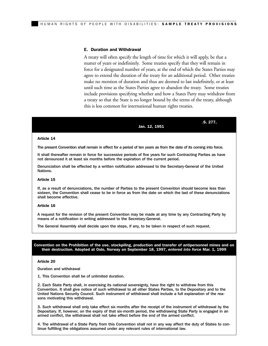# E. Duration and Withdrawal

A treaty will often specify the length of time for which it will apply, be that a matter of years or indefinitely. Some treaties specify that they will remain in force for a designated number of years, at the end of which the States Parties may agree to extend the duration of the treaty for an additional period. Other treaties make no mention of duration and thus are deemed to last indefinitely, or at least until such time as the States Parties agree to abandon the treaty. Some treaties include provisions specifying whether and how a States Party may withdraw from a treaty so that the State is no longer bound by the terms of the treaty, although this is less common for international human rights treaties.

| Jan. 12, 1951                                                                                                                                                                                                                                        | .S. 277, |
|------------------------------------------------------------------------------------------------------------------------------------------------------------------------------------------------------------------------------------------------------|----------|
| Article 14                                                                                                                                                                                                                                           |          |
| The present Convention shall remain in effect for a period of ten years as from the date of its coming into force.                                                                                                                                   |          |
| It shall thereafter remain in force for successive periods of five years for such Contracting Parties as have<br>not denounced it at least six months before the expiration of the current period.                                                   |          |
| Denunciation shall be effected by a written notification addressed to the Secretary-General of the United<br>Nations.                                                                                                                                |          |
| <b>Article 15</b>                                                                                                                                                                                                                                    |          |
| If, as a result of denunciations, the number of Parties to the present Convention should become less than<br>sixteen, the Convention shall cease to be in force as from the date on which the last of these denunciations<br>shall become effective. |          |
| Article 16                                                                                                                                                                                                                                           |          |
| A request for the revision of the present Convention may be made at any time by any Contracting Party by<br>means of a notification in writing addressed to the Secretary-General.                                                                   |          |
| The General Assembly shall decide upon the steps, if any, to be taken in respect of such request.                                                                                                                                                    |          |
|                                                                                                                                                                                                                                                      |          |
| Convention on the Prohibition of the use, stockpiling, production and transfer of antipersonnel mines and on                                                                                                                                         |          |

#### Article 20

Duration and withdrawal

1. This Convention shall be of unlimited duration.

2. Each State Party shall, in exercising its national sovereignty, have the right to withdraw from this Convention. It shall give notice of such withdrawal to all other States Parties, to the Depositary and to the United Nations Security Council. Such instrument of withdrawal shall include a full explanation of the reasons motivating this withdrawal.

their destruction. Adopted at Oslo, Norway on September 18, 1997, *entered into force* Mar. 1, 1999

3. Such withdrawal shall only take effect six months after the receipt of the instrument of withdrawal by the Depositary. If, however, on the expiry of that six-month period, the withdrawing State Party is engaged in an armed conflict, the withdrawal shall not take effect before the end of the armed conflict.

4. The withdrawal of a State Party from this Convention shall not in any way affect the duty of States to continue fulfilling the obligations assumed under any relevant rules of international law.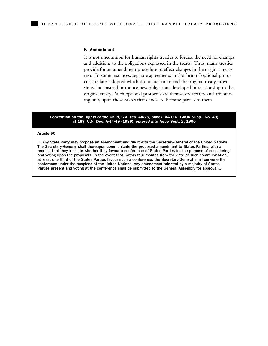#### F. Amendment

It is not uncommon for human rights treaties to foresee the need for changes and additions to the obligations expressed in the treaty. Thus, many treaties provide for an amendment procedure to effect changes in the original treaty text. In some instances, separate agreements in the form of optional protocols are later adopted which do not act to amend the original treaty provisions, but instead introduce new obligations developed in relationship to the original treaty. Such optional protocols are themselves treaties and are binding only upon those States that choose to become parties to them.

#### Convention on the Rights of the Child, G.A. res. 44/25, anne at 167, U.N. Doc. A/44/49 (1989), x, 44 U.N. GAOR Supp. (No. 49) *entered into force* Sept. 2, 1990

# Article 50

1. Any State Party may propose an amendment and file it with the Secretary-General of the United Nations. The Secretary-General shall thereupon communicate the proposed amendment to States Parties, with a request that they indicate whether they favour a conference of States Parties for the purpose of considering and voting upon the proposals. In the event that, within four months from the date of such communication, at least one third of the States Parties favour such a conference, the Secretary-General shall convene the conference under the auspices of the United Nations. Any amendment adopted by a majority of States Parties present and voting at the conference shall be submitted to the General Assembly for approval…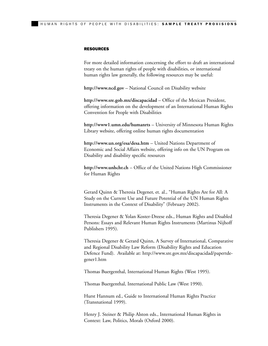#### RESOURCES

For more detailed information concerning the effort to draft an international treaty on the human rights of people with disabilities, or international human rights law generally, the following resources may be useful:

**http://www.ncd.gov** – National Council on Disability website

**http://www.sre.gob.mx/discapacidad** – Office of the Mexican President, offering information on the development of an International Human Rights Convention for People with Disabilities

**http://www1.umn.edu/humanrts** – University of Minnesota Human Rights Library website, offering online human rights documentation

**http://www.un.org/esa/desa.htm** – United Nations Department of Economic and Social Affairs website, offering info on the UN Program on Disability and disability specific resources

**http://www.unhchr.ch** – Office of the United Nations High Commissioner for Human Rights

Gerard Quinn & Theresia Degener, et. al., "Human Rights Are for All: A Study on the Current Use and Future Potential of the UN Human Rights Instruments in the Context of Disability" (February 2002).

Theresia Degener & Yolan Koster-Dreese eds., Human Rights and Disabled Persons: Essays and Relevant Human Rights Instruments (Martinus Nijhoff Publishers 1995).

Theresia Degener & Gerard Quinn, A Survey of International, Comparative and Regional Disability Law Reform (Disability Rights and Education Defence Fund). Available at: http://www.sre.gov.mx/discapacidad/papertdegener1.htm

Thomas Buergenthal, International Human Rights (West 1995).

Thomas Buergenthal, International Public Law (West 1990).

Hurst Hannum ed., Guide to International Human Rights Practice (Transnational 1999).

Henry J. Steiner & Philip Alston eds., International Human Rights in Context: Law, Politics, Morals (Oxford 2000).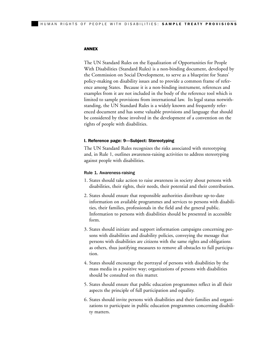# ANNEX

The UN Standard Rules on the Equalization of Opportunities for People With Disabilities (Standard Rules) is a non-binding document, developed by the Commission on Social Development, to serve as a blueprint for States' policy-making on disability issues and to provide a common frame of reference among States. Because it is a non-binding instrument, references and examples from it are not included in the body of the reference tool which is limited to sample provisions from international law. Its legal status notwithstanding, the UN Standard Rules is a widely known and frequently referenced document and has some valuable provisions and language that should be considered by those involved in the development of a convention on the rights of people with disabilities.

#### I. Reference page: 9—Subject: Stereotyping

The UN Standard Rules recognizes the risks associated with stereotyping and, in Rule 1, outlines awareness-raising activities to address stereotyping against people with disabilities.

# Rule 1. Awareness-raising

- 1. States should take action to raise awareness in society about persons with disabilities, their rights, their needs, their potential and their contribution.
- 2. States should ensure that responsible authorities distribute up-to-date information on available programmes and services to persons with disabilities, their families, professionals in the field and the general public. Information to persons with disabilities should be presented in accessible form.
- 3. States should initiate and support information campaigns concerning persons with disabilities and disability policies, conveying the message that persons with disabilities are citizens with the same rights and obligations as others, thus justifying measures to remove all obstacles to full participation.
- 4. States should encourage the portrayal of persons with disabilities by the mass media in a positive way; organizations of persons with disabilities should be consulted on this matter.
- 5. States should ensure that public education programmes reflect in all their aspects the principle of full participation and equality.
- 6. States should invite persons with disabilities and their families and organizations to participate in public education programmes concerning disability matters.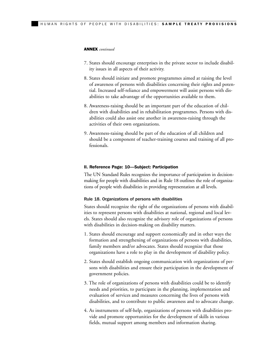- 7. States should encourage enterprises in the private sector to include disability issues in all aspects of their activity.
- 8. States should initiate and promote programmes aimed at raising the level of awareness of persons with disabilities concerning their rights and potential. Increased self-reliance and empowerment will assist persons with disabilities to take advantage of the opportunities available to them.
- 8. Awareness-raising should be an important part of the education of children with disabilities and in rehabilitation programmes. Persons with disabilities could also assist one another in awareness-raising through the activities of their own organizations.
- 9. Awareness-raising should be part of the education of all children and should be a component of teacher-training courses and training of all professionals.

### II. Reference Page: 10—Subject: Participation

The UN Standard Rules recognizes the importance of participation in decisionmaking for people with disabilities and in Rule 18 outlines the role of organizations of people with disabilities in providing representation at all levels.

# Rule 18. Organizations of persons with disabilities

States should recognize the right of the organizations of persons with disabilities to represent persons with disabilities at national, regional and local levels. States should also recognize the advisory role of organizations of persons with disabilities in decision-making on disability matters.

- 1. States should encourage and support economically and in other ways the formation and strengthening of organizations of persons with disabilities, family members and/or advocates. States should recognize that those organizations have a role to play in the development of disability policy.
- 2. States should establish ongoing communication with organizations of persons with disabilities and ensure their participation in the development of government policies.
- 3. The role of organizations of persons with disabilities could be to identify needs and priorities, to participate in the planning, implementation and evaluation of services and measures concerning the lives of persons with disabilities, and to contribute to public awareness and to advocate change.
- 4. As instruments of self-help, organizations of persons with disabilities provide and promote opportunities for the development of skills in various fields, mutual support among members and information sharing.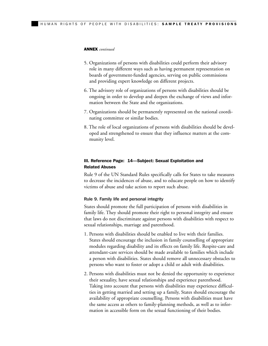- 5. Organizations of persons with disabilities could perform their advisory role in many different ways such as having permanent representation on boards of government-funded agencies, serving on public commissions and providing expert knowledge on different projects.
- 6. The advisory role of organizations of persons with disabilities should be ongoing in order to develop and deepen the exchange of views and information between the State and the organizations.
- 7. Organizations should be permanently represented on the national coordinating committee or similar bodies.
- 8. The role of local organizations of persons with disabilities should be developed and strengthened to ensure that they influence matters at the community level.

# III. Reference Page: 14—Subject: Sexual Exploitation and Related Abuses

Rule 9 of the UN Standard Rules specifically calls for States to take measures to decrease the incidences of abuse, and to educate people on how to identify victims of abuse and take action to report such abuse.

# Rule 9. Family life and personal integrity

States should promote the full participation of persons with disabilities in family life. They should promote their right to personal integrity and ensure that laws do not discriminate against persons with disabilities with respect to sexual relationships, marriage and parenthood.

- 1. Persons with disabilities should be enabled to live with their families. States should encourage the inclusion in family counselling of appropriate modules regarding disability and its effects on family life. Respite-care and attendant-care services should be made available to families which include a person with disabilities. States should remove all unnecessary obstacles to persons who want to foster or adopt a child or adult with disabilities.
- 2. Persons with disabilities must not be denied the opportunity to experience their sexuality, have sexual relationships and experience parenthood. Taking into account that persons with disabilities may experience difficulties in getting married and setting up a family, States should encourage the availability of appropriate counselling. Persons with disabilities must have the same access as others to family-planning methods, as well as to information in accessible form on the sexual functioning of their bodies.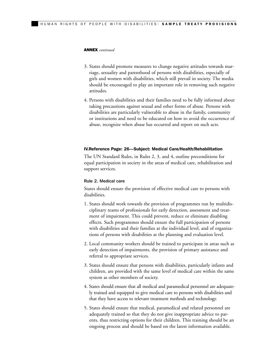- 3. States should promote measures to change negative attitudes towards marriage, sexuality and parenthood of persons with disabilities, especially of girls and women with disabilities, which still prevail in society. The media should be encouraged to play an important role in removing such negative attitudes.
- 4. Persons with disabilities and their families need to be fully informed about taking precautions against sexual and other forms of abuse. Persons with disabilities are particularly vulnerable to abuse in the family, community or institutions and need to be educated on how to avoid the occurrence of abuse, recognize when abuse has occurred and report on such acts.

#### IV.Reference Page: 26—Subject: Medical Care/Health/Rehabilitation

The UN Standard Rules, in Rules 2, 3, and 4, outline preconditions for equal participation in society in the areas of medical care, rehabilitation and support services.

# Rule 2. Medical care

States should ensure the provision of effective medical care to persons with disabilities.

- 1. States should work towards the provision of programmes run by multidisciplinary teams of professionals for early detection, assessment and treatment of impairment. This could prevent, reduce or eliminate disabling effects. Such programmes should ensure the full participation of persons with disabilities and their families at the individual level, and of organizations of persons with disabilities at the planning and evaluation level.
- 2. Local community workers should be trained to participate in areas such as early detection of impairments, the provision of primary assistance and referral to appropriate services.
- 3. States should ensure that persons with disabilities, particularly infants and children, are provided with the same level of medical care within the same system as other members of society.
- 4. States should ensure that all medical and paramedical personnel are adequately trained and equipped to give medical care to persons with disabilities and that they have access to relevant treatment methods and technology.
- 5. States should ensure that medical, paramedical and related personnel are adequately trained so that they do not give inappropriate advice to parents, thus restricting options for their children. This training should be an ongoing process and should be based on the latest information available.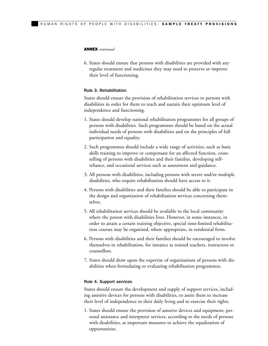6. States should ensure that persons with disabilities are provided with any regular treatment and medicines they may need to preserve or improve their level of functioning.

# Rule 3. Rehabilitation

States should ensure the provision of rehabilitation services to persons with disabilities in order for them to reach and sustain their optimum level of independence and functioning.

- 1. States should develop national rehabilitation programmes for all groups of persons with disabilities. Such programmes should be based on the actual individual needs of persons with disabilities and on the principles of full participation and equality.
- 2. Such programmes should include a wide range of activities, such as basic skills training to improve or compensate for an affected function, counselling of persons with disabilities and their families, developing selfreliance, and occasional services such as assessment and guidance.
- 3. All persons with disabilities, including persons with severe and/or multiple disabilities, who require rehabilitation should have access to it.
- 4. Persons with disabilities and their families should be able to participate in the design and organization of rehabilitation services concerning themselves.
- 5. All rehabilitation services should be available in the local community where the person with disabilities lives. However, in some instances, in order to attain a certain training objective, special time-limited rehabilitation courses may be organized, where appropriate, in residential form.
- 6. Persons with disabilities and their families should be encouraged to involve themselves in rehabilitation, for instance as trained teachers, instructors or counsellors.
- 7. States should draw upon the expertise of organizations of persons with disabilities when formulating or evaluating rehabilitation programmes.

# Rule 4. Support services

States should ensure the development and supply of support services, including assistive devices for persons with disabilities, to assist them to increase their level of independence in their daily living and to exercise their rights.

1. States should ensure the provision of assistive devices and equipment, personal assistance and interpreter services, according to the needs of persons with disabilities, as important measures to achieve the equalization of opportunities.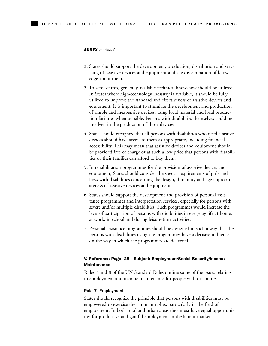- 2. States should support the development, production, distribution and servicing of assistive devices and equipment and the dissemination of knowledge about them.
- 3. To achieve this, generally available technical know-how should be utilized. In States where high-technology industry is available, it should be fully utilized to improve the standard and effectiveness of assistive devices and equipment. It is important to stimulate the development and production of simple and inexpensive devices, using local material and local production facilities when possible. Persons with disabilities themselves could be involved in the production of those devices.
- 4. States should recognize that all persons with disabilities who need assistive devices should have access to them as appropriate, including financial accessibility. This may mean that assistive devices and equipment should be provided free of charge or at such a low price that persons with disabilities or their families can afford to buy them.
- 5. In rehabilitation programmes for the provision of assistive devices and equipment, States should consider the special requirements of girls and boys with disabilities concerning the design, durability and age-appropriateness of assistive devices and equipment.
- 6. States should support the development and provision of personal assistance programmes and interpretation services, especially for persons with severe and/or multiple disabilities. Such programmes would increase the level of participation of persons with disabilities in everyday life at home, at work, in school and during leisure-time activities.
- 7. Personal assistance programmes should be designed in such a way that the persons with disabilities using the programmes have a decisive influence on the way in which the programmes are delivered.

# V. Reference Page: 28—Subject: Employment/Social Security/Income **Maintenance**

Rules 7 and 8 of the UN Standard Rules outline some of the issues relating to employment and income maintenance for people with disabilities.

# Rule 7. Employment

States should recognize the principle that persons with disabilities must be empowered to exercise their human rights, particularly in the field of employment. In both rural and urban areas they must have equal opportunities for productive and gainful employment in the labour market.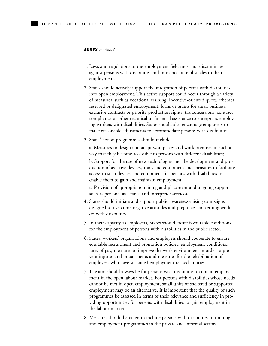- 1. Laws and regulations in the employment field must not discriminate against persons with disabilities and must not raise obstacles to their employment.
- 2. States should actively support the integration of persons with disabilities into open employment. This active support could occur through a variety of measures, such as vocational training, incentive-oriented quota schemes, reserved or designated employment, loans or grants for small business, exclusive contracts or priority production rights, tax concessions, contract compliance or other technical or financial assistance to enterprises employing workers with disabilities. States should also encourage employers to make reasonable adjustments to accommodate persons with disabilities.
- 3. States' action programmes should include:

a. Measures to design and adapt workplaces and work premises in such a way that they become accessible to persons with different disabilities;

b. Support for the use of new technologies and the development and production of assistive devices, tools and equipment and measures to facilitate access to such devices and equipment for persons with disabilities to enable them to gain and maintain employment;

c. Provision of appropriate training and placement and ongoing support such as personal assistance and interpreter services.

- 4. States should initiate and support public awareness-raising campaigns designed to overcome negative attitudes and prejudices concerning workers with disabilities.
- 5. In their capacity as employers, States should create favourable conditions for the employment of persons with disabilities in the public sector.
- 6. States, workers' organizations and employers should cooperate to ensure equitable recruitment and promotion policies, employment conditions, rates of pay, measures to improve the work environment in order to prevent injuries and impairments and measures for the rehabilitation of employees who have sustained employment-related injuries.
- 7. The aim should always be for persons with disabilities to obtain employment in the open labour market. For persons with disabilities whose needs cannot be met in open employment, small units of sheltered or supported employment may be an alternative. It is important that the quality of such programmes be assessed in terms of their relevance and sufficiency in providing opportunities for persons with disabilities to gain employment in the labour market.
- 8. Measures should be taken to include persons with disabilities in training and employment programmes in the private and informal sectors.1.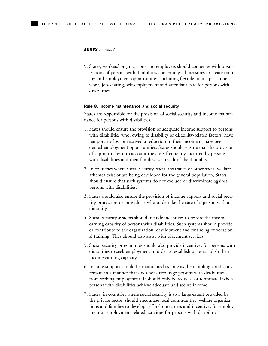9. States, workers' organizations and employers should cooperate with organizations of persons with disabilities concerning all measures to create training and employment opportunities, including flexible hours, part-time work, job-sharing, self-employment and attendant care for persons with disabilities.

#### Rule 8. Income maintenance and social security

States are responsible for the provision of social security and income maintenance for persons with disabilities.

- 1. States should ensure the provision of adequate income support to persons with disabilities who, owing to disability or disability-related factors, have temporarily lost or received a reduction in their income or have been denied employment opportunities. States should ensure that the provision of support takes into account the costs frequently incurred by persons with disabilities and their families as a result of the disability.
- 2. In countries where social security, social insurance or other social welfare schemes exist or are being developed for the general population, States should ensure that such systems do not exclude or discriminate against persons with disabilities.
- 3. States should also ensure the provision of income support and social security protection to individuals who undertake the care of a person with a disability.
- 4. Social security systems should include incentives to restore the incomeearning capacity of persons with disabilities. Such systems should provide or contribute to the organization, development and financing of vocational training. They should also assist with placement services.
- 5. Social security programmes should also provide incentives for persons with disabilities to seek employment in order to establish or re-establish their income-earning capacity.
- 6. Income support should be maintained as long as the disabling conditions remain in a manner that does not discourage persons with disabilities from seeking employment. It should only be reduced or terminated when persons with disabilities achieve adequate and secure income.
- 7. States, in countries where social security is to a large extent provided by the private sector, should encourage local communities, welfare organizations and families to develop self-help measures and incentives for employment or employment-related activities for persons with disabilities.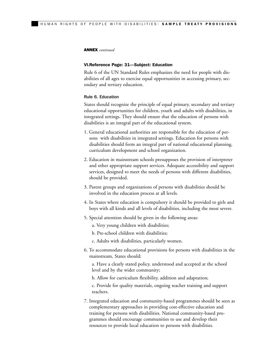#### VI.Reference Page: 31—Subject: Education

Rule 6 of the UN Standard Rules emphasizes the need for people with disabilities of all ages to exercise equal opportunities in accessing primary, secondary and tertiary education.

#### Rule 6. Education

States should recognize the principle of equal primary, secondary and tertiary educational opportunities for children, youth and adults with disabilities, in integrated settings. They should ensure that the education of persons with disabilities is an integral part of the educational system.

- 1. General educational authorities are responsible for the education of persons with disabilities in integrated settings. Education for persons with disabilities should form an integral part of national educational planning, curriculum development and school organization.
- 2. Education in mainstream schools presupposes the provision of interpreter and other appropriate support services. Adequate accessibility and support services, designed to meet the needs of persons with different disabilities, should be provided.
- 3. Parent groups and organizations of persons with disabilities should be involved in the education process at all levels.
- 4. In States where education is compulsory it should be provided to girls and boys with all kinds and all levels of disabilities, including the most severe.
- 5. Special attention should be given in the following areas:
	- a. Very young children with disabilities;
	- b. Pre-school children with disabilities;
	- c. Adults with disabilities, particularly women.
- 6. To accommodate educational provisions for persons with disabilities in the mainstream, States should:

a. Have a clearly stated policy, understood and accepted at the school level and by the wider community;

b. Allow for curriculum flexibility, addition and adaptation;

c. Provide for quality materials, ongoing teacher training and support teachers.

7. Integrated education and community-based programmes should be seen as complementary approaches in providing cost-effective education and training for persons with disabilities. National community-based programmes should encourage communities to use and develop their resources to provide local education to persons with disabilities.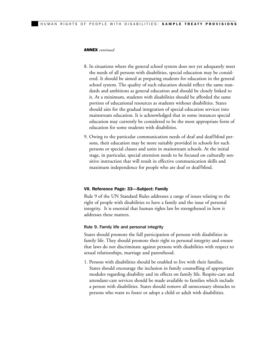- 8. In situations where the general school system does not yet adequately meet the needs of all persons with disabilities, special education may be considered. It should be aimed at preparing students for education in the general school system. The quality of such education should reflect the same standards and ambitions as general education and should be closely linked to it. At a minimum, students with disabilities should be afforded the same portion of educational resources as students without disabilities. States should aim for the gradual integration of special education services into mainstream education. It is acknowledged that in some instances special education may currently be considered to be the most appropriate form of education for some students with disabilities.
- 9. Owing to the particular communication needs of deaf and deaf/blind persons, their education may be more suitably provided in schools for such persons or special classes and units in mainstream schools. At the initial stage, in particular, special attention needs to be focused on culturally sensitive instruction that will result in effective communication skills and maximum independence for people who are deaf or deaf/blind.

### VII. Reference Page: 33—Subject: Family

Rule 9 of the UN Standard Rules addresses a range of issues relating to the right of people with disabilities to have a family and the issue of personal integrity. It is essential that human rights law be strengthened in how it addresses these matters.

#### Rule 9. Family life and personal integrity

States should promote the full participation of persons with disabilities in family life. They should promote their right to personal integrity and ensure that laws do not discriminate against persons with disabilities with respect to sexual relationships, marriage and parenthood.

1. Persons with disabilities should be enabled to live with their families. States should encourage the inclusion in family counselling of appropriate modules regarding disability and its effects on family life. Respite-care and attendant-care services should be made available to families which include a person with disabilities. States should remove all unnecessary obstacles to persons who want to foster or adopt a child or adult with disabilities.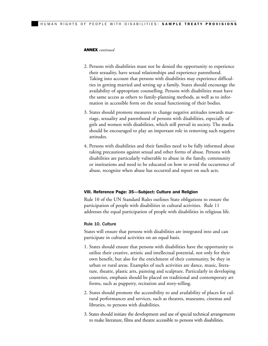- 2. Persons with disabilities must not be denied the opportunity to experience their sexuality, have sexual relationships and experience parenthood. Taking into account that persons with disabilities may experience difficulties in getting married and setting up a family, States should encourage the availability of appropriate counselling. Persons with disabilities must have the same access as others to family-planning methods, as well as to information in accessible form on the sexual functioning of their bodies.
- 3. States should promote measures to change negative attitudes towards marriage, sexuality and parenthood of persons with disabilities, especially of girls and women with disabilities, which still prevail in society. The media should be encouraged to play an important role in removing such negative attitudes.
- 4. Persons with disabilities and their families need to be fully informed about taking precautions against sexual and other forms of abuse. Persons with disabilities are particularly vulnerable to abuse in the family, community or institutions and need to be educated on how to avoid the occurrence of abuse, recognize when abuse has occurred and report on such acts.

#### VIII. Reference Page: 35—Subject: Culture and Religion

Rule 10 of the UN Standard Rules outlines State obligations to ensure the participation of people with disabilities in cultural activities. Rule 11 addresses the equal participation of people with disabilities in religious life.

# Rule 10. Culture

States will ensure that persons with disabilities are integrated into and can participate in cultural activities on an equal basis.

- 1. States should ensure that persons with disabilities have the opportunity to utilize their creative, artistic and intellectual potential, not only for their own benefit, but also for the enrichment of their community, be they in urban or rural areas. Examples of such activities are dance, music, literature, theatre, plastic arts, painting and sculpture. Particularly in developing countries, emphasis should be placed on traditional and contemporary art forms, such as puppetry, recitation and story-telling.
- 2. States should promote the accessibility to and availability of places for cultural performances and services, such as theatres, museums, cinemas and libraries, to persons with disabilities.
- 3. States should initiate the development and use of special technical arrangements to make literature, films and theatre accessible to persons with disabilities.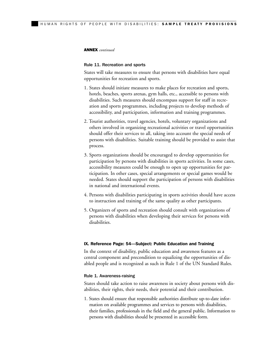# Rule 11. Recreation and sports

States will take measures to ensure that persons with disabilities have equal opportunities for recreation and sports.

- 1. States should initiate measures to make places for recreation and sports, hotels, beaches, sports arenas, gym halls, etc., accessible to persons with disabilities. Such measures should encompass support for staff in recreation and sports programmes, including projects to develop methods of accessibility, and participation, information and training programmes.
- 2. Tourist authorities, travel agencies, hotels, voluntary organizations and others involved in organizing recreational activities or travel opportunities should offer their services to all, taking into account the special needs of persons with disabilities. Suitable training should be provided to assist that process.
- 3. Sports organizations should be encouraged to develop opportunities for participation by persons with disabilities in sports activities. In some cases, accessibility measures could be enough to open up opportunities for participation. In other cases, special arrangements or special games would be needed. States should support the participation of persons with disabilities in national and international events.
- 4. Persons with disabilities participating in sports activities should have access to instruction and training of the same quality as other participants.
- 5. Organizers of sports and recreation should consult with organizations of persons with disabilities when developing their services for persons with disabilities.

# IX. Reference Page: 54—Subject: Public Education and Training

In the context of disability, public education and awareness features as a central component and precondition to equalizing the opportunities of disabled people and is recognized as such in Rule 1 of the UN Standard Rules.

# Rule 1. Awareness-raising

States should take action to raise awareness in society about persons with disabilities, their rights, their needs, their potential and their contribution.

1. States should ensure that responsible authorities distribute up-to-date information on available programmes and services to persons with disabilities, their families, professionals in the field and the general public. Information to persons with disabilities should be presented in accessible form.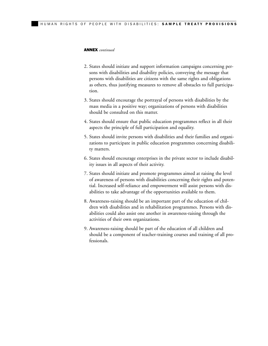- 2. States should initiate and support information campaigns concerning persons with disabilities and disability policies, conveying the message that persons with disabilities are citizens with the same rights and obligations as others, thus justifying measures to remove all obstacles to full participation.
- 3. States should encourage the portrayal of persons with disabilities by the mass media in a positive way; organizations of persons with disabilities should be consulted on this matter.
- 4. States should ensure that public education programmes reflect in all their aspects the principle of full participation and equality.
- 5. States should invite persons with disabilities and their families and organizations to participate in public education programmes concerning disability matters.
- 6. States should encourage enterprises in the private sector to include disability issues in all aspects of their activity.
- 7. States should initiate and promote programmes aimed at raising the level of awareness of persons with disabilities concerning their rights and potential. Increased self-reliance and empowerment will assist persons with disabilities to take advantage of the opportunities available to them.
- 8. Awareness-raising should be an important part of the education of children with disabilities and in rehabilitation programmes. Persons with disabilities could also assist one another in awareness-raising through the activities of their own organizations.
- 9. Awareness-raising should be part of the education of all children and should be a component of teacher-training courses and training of all professionals.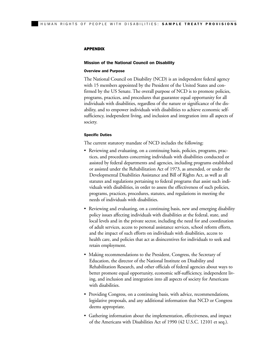# APPENDIX

#### Mission of the National Council on Disability

#### Overview and Purpose

The National Council on Disability (NCD) is an independent federal agency with 15 members appointed by the President of the United States and confirmed by the US Senate. The overall purpose of NCD is to promote policies, programs, practices, and procedures that guarantee equal opportunity for all individuals with disabilities, regardless of the nature or significance of the disability, and to empower individuals with disabilities to achieve economic selfsufficiency, independent living, and inclusion and integration into all aspects of society.

# Specific Duties

The current statutory mandate of NCD includes the following:

- Reviewing and evaluating, on a continuing basis, policies, programs, practices, and procedures concerning individuals with disabilities conducted or assisted by federal departments and agencies, including programs established or assisted under the Rehabilitation Act of 1973, as amended, or under the Developmental Disabilities Assistance and Bill of Rights Act, as well as all statutes and regulations pertaining to federal programs that assist such individuals with disabilities, in order to assess the effectiveness of such policies, programs, practices, procedures, statutes, and regulations in meeting the needs of individuals with disabilities.
- Reviewing and evaluating, on a continuing basis, new and emerging disability policy issues affecting individuals with disabilities at the federal, state, and local levels and in the private sector, including the need for and coordination of adult services, access to personal assistance services, school reform efforts, and the impact of such efforts on individuals with disabilities, access to health care, and policies that act as disincentives for individuals to seek and retain employment.
- Making recommendations to the President, Congress, the Secretary of Education, the director of the National Institute on Disability and Rehabilitation Research, and other officials of federal agencies about ways to better promote equal opportunity, economic self-sufficiency, independent living, and inclusion and integration into all aspects of society for Americans with disabilities.
- Providing Congress, on a continuing basis, with advice, recommendations, legislative proposals, and any additional information that NCD or Congress deems appropriate.
- • Gathering information about the implementation, effectiveness, and impact of the Americans with Disabilities Act of 1990 (42 U.S.C. 12101 et seq.).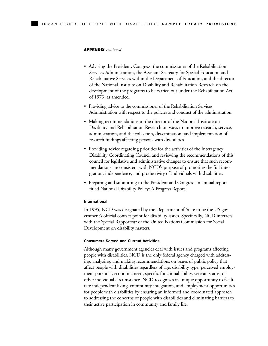# APPENDIX *continued*

- • Advising the President, Congress, the commissioner of the Rehabilitation Services Administration, the Assistant Secretary for Special Education and Rehabilitative Services within the Department of Education, and the director of the National Institute on Disability and Rehabilitation Research on the development of the programs to be carried out under the Rehabilitation Act of 1973, as amended.
- Providing advice to the commissioner of the Rehabilitation Services Administration with respect to the policies and conduct of the administration.
- Making recommendations to the director of the National Institute on Disability and Rehabilitation Research on ways to improve research, service, administration, and the collection, dissemination, and implementation of research findings affecting persons with disabilities.
- Providing advice regarding priorities for the activities of the Interagency Disability Coordinating Council and reviewing the recommendations of this council for legislative and administrative changes to ensure that such recommendations are consistent with NCD's purpose of promoting the full integration, independence, and productivity of individuals with disabilities.
- Preparing and submitting to the President and Congress an annual report titled National Disability Policy: A Progress Report.

# International

In 1995, NCD was designated by the Department of State to be the US government's official contact point for disability issues. Specifically, NCD interacts with the Special Rapporteur of the United Nations Commission for Social Development on disability matters.

# Consumers Served and Current Activities

Although many government agencies deal with issues and programs affecting people with disabilities, NCD is the only federal agency charged with addressing, analyzing, and making recommendations on issues of public policy that affect people with disabilities regardless of age, disability type, perceived employment potential, economic need, specific functional ability, veteran status, or other individual circumstance. NCD recognizes its unique opportunity to facilitate independent living, community integration, and employment opportunities for people with disabilities by ensuring an informed and coordinated approach to addressing the concerns of people with disabilities and eliminating barriers to their active participation in community and family life.